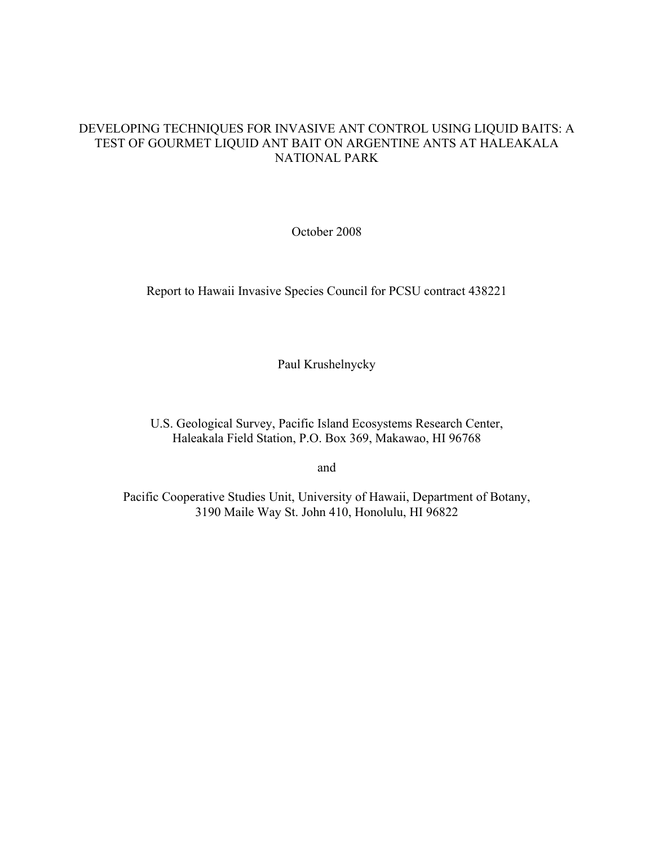# DEVELOPING TECHNIQUES FOR INVASIVE ANT CONTROL USING LIQUID BAITS: A TEST OF GOURMET LIQUID ANT BAIT ON ARGENTINE ANTS AT HALEAKALA NATIONAL PARK

October 2008

Report to Hawaii Invasive Species Council for PCSU contract 438221

Paul Krushelnycky

U.S. Geological Survey, Pacific Island Ecosystems Research Center, Haleakala Field Station, P.O. Box 369, Makawao, HI 96768

and

Pacific Cooperative Studies Unit, University of Hawaii, Department of Botany, 3190 Maile Way St. John 410, Honolulu, HI 96822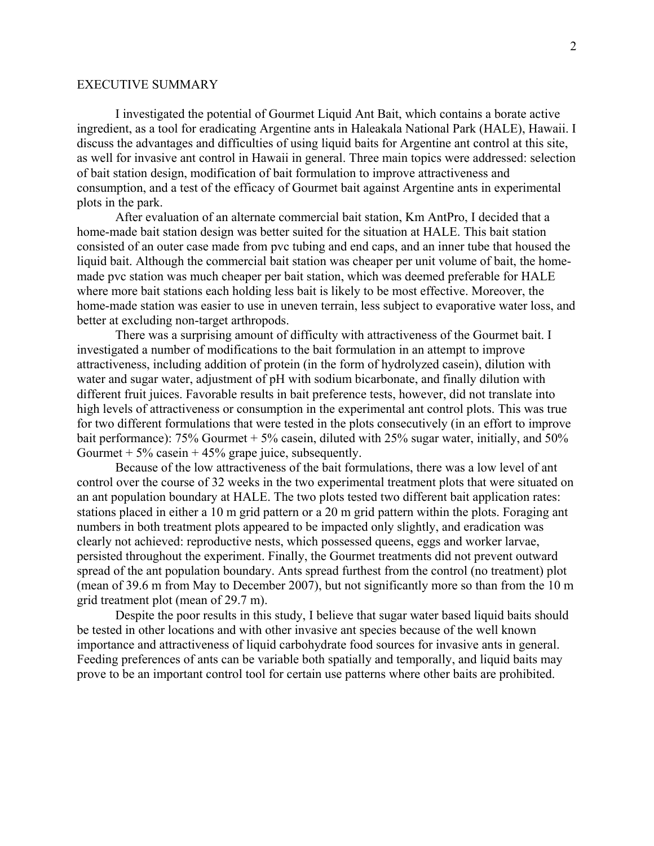#### EXECUTIVE SUMMARY

I investigated the potential of Gourmet Liquid Ant Bait, which contains a borate active ingredient, as a tool for eradicating Argentine ants in Haleakala National Park (HALE), Hawaii. I discuss the advantages and difficulties of using liquid baits for Argentine ant control at this site, as well for invasive ant control in Hawaii in general. Three main topics were addressed: selection of bait station design, modification of bait formulation to improve attractiveness and consumption, and a test of the efficacy of Gourmet bait against Argentine ants in experimental plots in the park.

After evaluation of an alternate commercial bait station, Km AntPro, I decided that a home-made bait station design was better suited for the situation at HALE. This bait station consisted of an outer case made from pvc tubing and end caps, and an inner tube that housed the liquid bait. Although the commercial bait station was cheaper per unit volume of bait, the homemade pvc station was much cheaper per bait station, which was deemed preferable for HALE where more bait stations each holding less bait is likely to be most effective. Moreover, the home-made station was easier to use in uneven terrain, less subject to evaporative water loss, and better at excluding non-target arthropods.

There was a surprising amount of difficulty with attractiveness of the Gourmet bait. I investigated a number of modifications to the bait formulation in an attempt to improve attractiveness, including addition of protein (in the form of hydrolyzed casein), dilution with water and sugar water, adjustment of pH with sodium bicarbonate, and finally dilution with different fruit juices. Favorable results in bait preference tests, however, did not translate into high levels of attractiveness or consumption in the experimental ant control plots. This was true for two different formulations that were tested in the plots consecutively (in an effort to improve bait performance): 75% Gourmet + 5% casein, diluted with 25% sugar water, initially, and 50% Gourmet  $+5\%$  casein  $+45\%$  grape juice, subsequently.

Because of the low attractiveness of the bait formulations, there was a low level of ant control over the course of 32 weeks in the two experimental treatment plots that were situated on an ant population boundary at HALE. The two plots tested two different bait application rates: stations placed in either a 10 m grid pattern or a 20 m grid pattern within the plots. Foraging ant numbers in both treatment plots appeared to be impacted only slightly, and eradication was clearly not achieved: reproductive nests, which possessed queens, eggs and worker larvae, persisted throughout the experiment. Finally, the Gourmet treatments did not prevent outward spread of the ant population boundary. Ants spread furthest from the control (no treatment) plot (mean of 39.6 m from May to December 2007), but not significantly more so than from the 10 m grid treatment plot (mean of 29.7 m).

Despite the poor results in this study, I believe that sugar water based liquid baits should be tested in other locations and with other invasive ant species because of the well known importance and attractiveness of liquid carbohydrate food sources for invasive ants in general. Feeding preferences of ants can be variable both spatially and temporally, and liquid baits may prove to be an important control tool for certain use patterns where other baits are prohibited.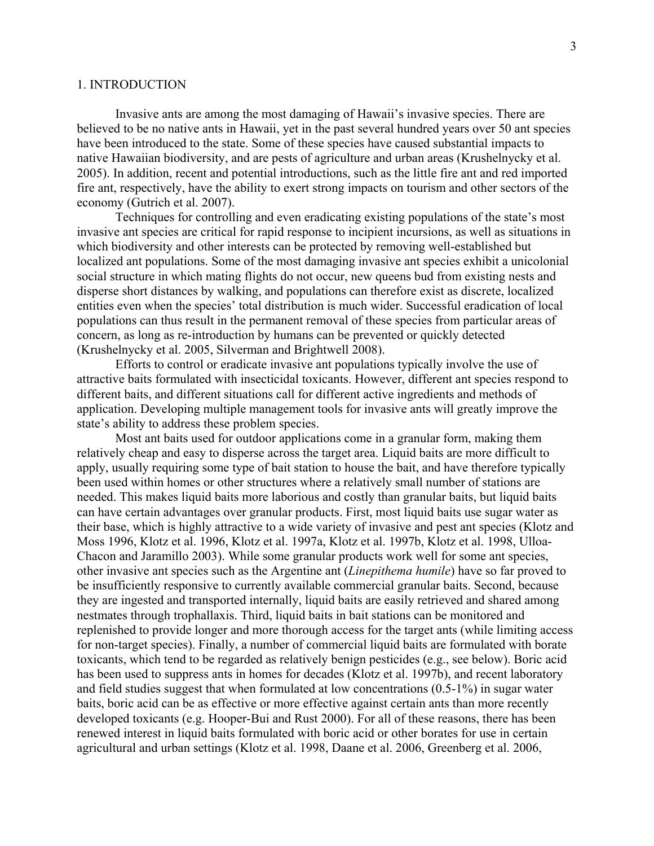#### 1. INTRODUCTION

Invasive ants are among the most damaging of Hawaii's invasive species. There are believed to be no native ants in Hawaii, yet in the past several hundred years over 50 ant species have been introduced to the state. Some of these species have caused substantial impacts to native Hawaiian biodiversity, and are pests of agriculture and urban areas (Krushelnycky et al. 2005). In addition, recent and potential introductions, such as the little fire ant and red imported fire ant, respectively, have the ability to exert strong impacts on tourism and other sectors of the economy (Gutrich et al. 2007).

Techniques for controlling and even eradicating existing populations of the state's most invasive ant species are critical for rapid response to incipient incursions, as well as situations in which biodiversity and other interests can be protected by removing well-established but localized ant populations. Some of the most damaging invasive ant species exhibit a unicolonial social structure in which mating flights do not occur, new queens bud from existing nests and disperse short distances by walking, and populations can therefore exist as discrete, localized entities even when the species' total distribution is much wider. Successful eradication of local populations can thus result in the permanent removal of these species from particular areas of concern, as long as re-introduction by humans can be prevented or quickly detected (Krushelnycky et al. 2005, Silverman and Brightwell 2008).

Efforts to control or eradicate invasive ant populations typically involve the use of attractive baits formulated with insecticidal toxicants. However, different ant species respond to different baits, and different situations call for different active ingredients and methods of application. Developing multiple management tools for invasive ants will greatly improve the state's ability to address these problem species.

Most ant baits used for outdoor applications come in a granular form, making them relatively cheap and easy to disperse across the target area. Liquid baits are more difficult to apply, usually requiring some type of bait station to house the bait, and have therefore typically been used within homes or other structures where a relatively small number of stations are needed. This makes liquid baits more laborious and costly than granular baits, but liquid baits can have certain advantages over granular products. First, most liquid baits use sugar water as their base, which is highly attractive to a wide variety of invasive and pest ant species (Klotz and Moss 1996, Klotz et al. 1996, Klotz et al. 1997a, Klotz et al. 1997b, Klotz et al. 1998, Ulloa-Chacon and Jaramillo 2003). While some granular products work well for some ant species, other invasive ant species such as the Argentine ant (*Linepithema humile*) have so far proved to be insufficiently responsive to currently available commercial granular baits. Second, because they are ingested and transported internally, liquid baits are easily retrieved and shared among nestmates through trophallaxis. Third, liquid baits in bait stations can be monitored and replenished to provide longer and more thorough access for the target ants (while limiting access for non-target species). Finally, a number of commercial liquid baits are formulated with borate toxicants, which tend to be regarded as relatively benign pesticides (e.g., see below). Boric acid has been used to suppress ants in homes for decades (Klotz et al. 1997b), and recent laboratory and field studies suggest that when formulated at low concentrations (0.5-1%) in sugar water baits, boric acid can be as effective or more effective against certain ants than more recently developed toxicants (e.g. Hooper-Bui and Rust 2000). For all of these reasons, there has been renewed interest in liquid baits formulated with boric acid or other borates for use in certain agricultural and urban settings (Klotz et al. 1998, Daane et al. 2006, Greenberg et al. 2006,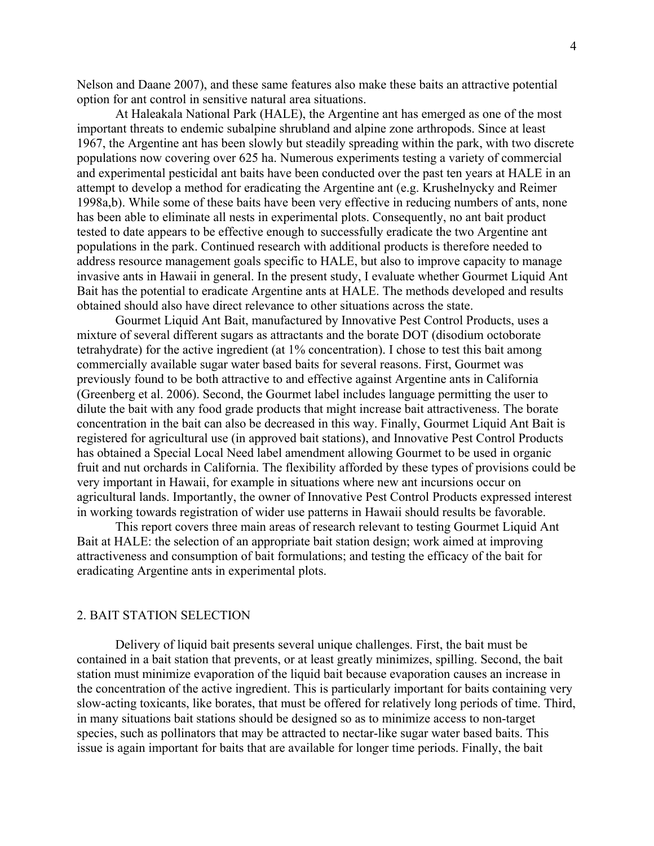Nelson and Daane 2007), and these same features also make these baits an attractive potential option for ant control in sensitive natural area situations.

 At Haleakala National Park (HALE), the Argentine ant has emerged as one of the most important threats to endemic subalpine shrubland and alpine zone arthropods. Since at least 1967, the Argentine ant has been slowly but steadily spreading within the park, with two discrete populations now covering over 625 ha. Numerous experiments testing a variety of commercial and experimental pesticidal ant baits have been conducted over the past ten years at HALE in an attempt to develop a method for eradicating the Argentine ant (e.g. Krushelnycky and Reimer 1998a,b). While some of these baits have been very effective in reducing numbers of ants, none has been able to eliminate all nests in experimental plots. Consequently, no ant bait product tested to date appears to be effective enough to successfully eradicate the two Argentine ant populations in the park. Continued research with additional products is therefore needed to address resource management goals specific to HALE, but also to improve capacity to manage invasive ants in Hawaii in general. In the present study, I evaluate whether Gourmet Liquid Ant Bait has the potential to eradicate Argentine ants at HALE. The methods developed and results obtained should also have direct relevance to other situations across the state.

Gourmet Liquid Ant Bait, manufactured by Innovative Pest Control Products, uses a mixture of several different sugars as attractants and the borate DOT (disodium octoborate tetrahydrate) for the active ingredient (at 1% concentration). I chose to test this bait among commercially available sugar water based baits for several reasons. First, Gourmet was previously found to be both attractive to and effective against Argentine ants in California (Greenberg et al. 2006). Second, the Gourmet label includes language permitting the user to dilute the bait with any food grade products that might increase bait attractiveness. The borate concentration in the bait can also be decreased in this way. Finally, Gourmet Liquid Ant Bait is registered for agricultural use (in approved bait stations), and Innovative Pest Control Products has obtained a Special Local Need label amendment allowing Gourmet to be used in organic fruit and nut orchards in California. The flexibility afforded by these types of provisions could be very important in Hawaii, for example in situations where new ant incursions occur on agricultural lands. Importantly, the owner of Innovative Pest Control Products expressed interest in working towards registration of wider use patterns in Hawaii should results be favorable.

This report covers three main areas of research relevant to testing Gourmet Liquid Ant Bait at HALE: the selection of an appropriate bait station design; work aimed at improving attractiveness and consumption of bait formulations; and testing the efficacy of the bait for eradicating Argentine ants in experimental plots.

#### 2. BAIT STATION SELECTION

Delivery of liquid bait presents several unique challenges. First, the bait must be contained in a bait station that prevents, or at least greatly minimizes, spilling. Second, the bait station must minimize evaporation of the liquid bait because evaporation causes an increase in the concentration of the active ingredient. This is particularly important for baits containing very slow-acting toxicants, like borates, that must be offered for relatively long periods of time. Third, in many situations bait stations should be designed so as to minimize access to non-target species, such as pollinators that may be attracted to nectar-like sugar water based baits. This issue is again important for baits that are available for longer time periods. Finally, the bait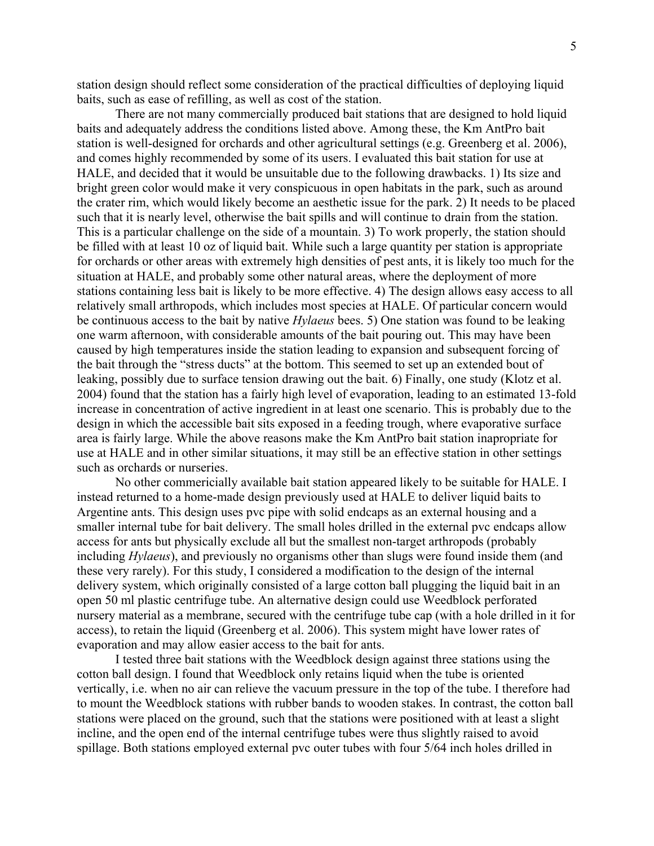station design should reflect some consideration of the practical difficulties of deploying liquid baits, such as ease of refilling, as well as cost of the station.

 There are not many commercially produced bait stations that are designed to hold liquid baits and adequately address the conditions listed above. Among these, the Km AntPro bait station is well-designed for orchards and other agricultural settings (e.g. Greenberg et al. 2006), and comes highly recommended by some of its users. I evaluated this bait station for use at HALE, and decided that it would be unsuitable due to the following drawbacks. 1) Its size and bright green color would make it very conspicuous in open habitats in the park, such as around the crater rim, which would likely become an aesthetic issue for the park. 2) It needs to be placed such that it is nearly level, otherwise the bait spills and will continue to drain from the station. This is a particular challenge on the side of a mountain. 3) To work properly, the station should be filled with at least 10 oz of liquid bait. While such a large quantity per station is appropriate for orchards or other areas with extremely high densities of pest ants, it is likely too much for the situation at HALE, and probably some other natural areas, where the deployment of more stations containing less bait is likely to be more effective. 4) The design allows easy access to all relatively small arthropods, which includes most species at HALE. Of particular concern would be continuous access to the bait by native *Hylaeus* bees. 5) One station was found to be leaking one warm afternoon, with considerable amounts of the bait pouring out. This may have been caused by high temperatures inside the station leading to expansion and subsequent forcing of the bait through the "stress ducts" at the bottom. This seemed to set up an extended bout of leaking, possibly due to surface tension drawing out the bait. 6) Finally, one study (Klotz et al. 2004) found that the station has a fairly high level of evaporation, leading to an estimated 13-fold increase in concentration of active ingredient in at least one scenario. This is probably due to the design in which the accessible bait sits exposed in a feeding trough, where evaporative surface area is fairly large. While the above reasons make the Km AntPro bait station inapropriate for use at HALE and in other similar situations, it may still be an effective station in other settings such as orchards or nurseries.

 No other commericially available bait station appeared likely to be suitable for HALE. I instead returned to a home-made design previously used at HALE to deliver liquid baits to Argentine ants. This design uses pvc pipe with solid endcaps as an external housing and a smaller internal tube for bait delivery. The small holes drilled in the external pvc endcaps allow access for ants but physically exclude all but the smallest non-target arthropods (probably including *Hylaeus*), and previously no organisms other than slugs were found inside them (and these very rarely). For this study, I considered a modification to the design of the internal delivery system, which originally consisted of a large cotton ball plugging the liquid bait in an open 50 ml plastic centrifuge tube. An alternative design could use Weedblock perforated nursery material as a membrane, secured with the centrifuge tube cap (with a hole drilled in it for access), to retain the liquid (Greenberg et al. 2006). This system might have lower rates of evaporation and may allow easier access to the bait for ants.

I tested three bait stations with the Weedblock design against three stations using the cotton ball design. I found that Weedblock only retains liquid when the tube is oriented vertically, i.e. when no air can relieve the vacuum pressure in the top of the tube. I therefore had to mount the Weedblock stations with rubber bands to wooden stakes. In contrast, the cotton ball stations were placed on the ground, such that the stations were positioned with at least a slight incline, and the open end of the internal centrifuge tubes were thus slightly raised to avoid spillage. Both stations employed external pvc outer tubes with four 5/64 inch holes drilled in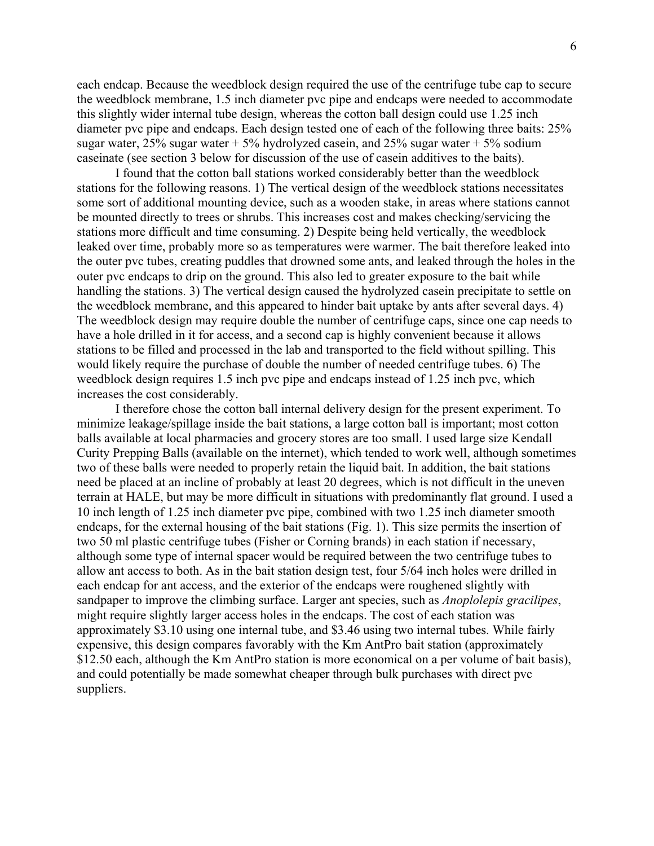each endcap. Because the weedblock design required the use of the centrifuge tube cap to secure the weedblock membrane, 1.5 inch diameter pvc pipe and endcaps were needed to accommodate this slightly wider internal tube design, whereas the cotton ball design could use 1.25 inch diameter pvc pipe and endcaps. Each design tested one of each of the following three baits: 25% sugar water,  $25\%$  sugar water + 5% hydrolyzed casein, and  $25\%$  sugar water + 5% sodium caseinate (see section 3 below for discussion of the use of casein additives to the baits).

I found that the cotton ball stations worked considerably better than the weedblock stations for the following reasons. 1) The vertical design of the weedblock stations necessitates some sort of additional mounting device, such as a wooden stake, in areas where stations cannot be mounted directly to trees or shrubs. This increases cost and makes checking/servicing the stations more difficult and time consuming. 2) Despite being held vertically, the weedblock leaked over time, probably more so as temperatures were warmer. The bait therefore leaked into the outer pvc tubes, creating puddles that drowned some ants, and leaked through the holes in the outer pvc endcaps to drip on the ground. This also led to greater exposure to the bait while handling the stations. 3) The vertical design caused the hydrolyzed casein precipitate to settle on the weedblock membrane, and this appeared to hinder bait uptake by ants after several days. 4) The weedblock design may require double the number of centrifuge caps, since one cap needs to have a hole drilled in it for access, and a second cap is highly convenient because it allows stations to be filled and processed in the lab and transported to the field without spilling. This would likely require the purchase of double the number of needed centrifuge tubes. 6) The weedblock design requires 1.5 inch pvc pipe and endcaps instead of 1.25 inch pvc, which increases the cost considerably.

 I therefore chose the cotton ball internal delivery design for the present experiment. To minimize leakage/spillage inside the bait stations, a large cotton ball is important; most cotton balls available at local pharmacies and grocery stores are too small. I used large size Kendall Curity Prepping Balls (available on the internet), which tended to work well, although sometimes two of these balls were needed to properly retain the liquid bait. In addition, the bait stations need be placed at an incline of probably at least 20 degrees, which is not difficult in the uneven terrain at HALE, but may be more difficult in situations with predominantly flat ground. I used a 10 inch length of 1.25 inch diameter pvc pipe, combined with two 1.25 inch diameter smooth endcaps, for the external housing of the bait stations (Fig. 1). This size permits the insertion of two 50 ml plastic centrifuge tubes (Fisher or Corning brands) in each station if necessary, although some type of internal spacer would be required between the two centrifuge tubes to allow ant access to both. As in the bait station design test, four 5/64 inch holes were drilled in each endcap for ant access, and the exterior of the endcaps were roughened slightly with sandpaper to improve the climbing surface. Larger ant species, such as *Anoplolepis gracilipes*, might require slightly larger access holes in the endcaps. The cost of each station was approximately \$3.10 using one internal tube, and \$3.46 using two internal tubes. While fairly expensive, this design compares favorably with the Km AntPro bait station (approximately \$12.50 each, although the Km AntPro station is more economical on a per volume of bait basis), and could potentially be made somewhat cheaper through bulk purchases with direct pvc suppliers.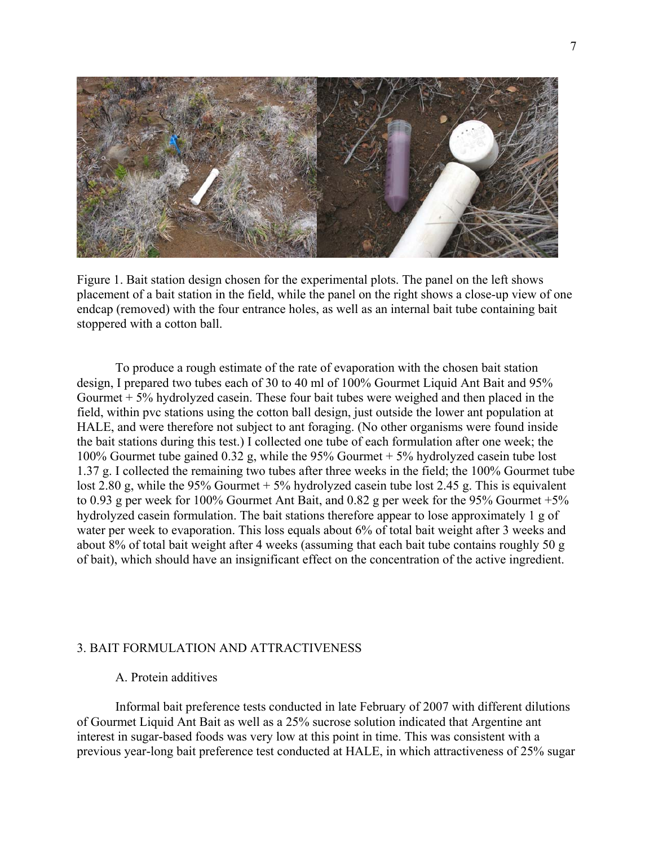

Figure 1. Bait station design chosen for the experimental plots. The panel on the left shows placement of a bait station in the field, while the panel on the right shows a close-up view of one endcap (removed) with the four entrance holes, as well as an internal bait tube containing bait stoppered with a cotton ball.

To produce a rough estimate of the rate of evaporation with the chosen bait station design, I prepared two tubes each of 30 to 40 ml of 100% Gourmet Liquid Ant Bait and 95% Gourmet + 5% hydrolyzed casein. These four bait tubes were weighed and then placed in the field, within pvc stations using the cotton ball design, just outside the lower ant population at HALE, and were therefore not subject to ant foraging. (No other organisms were found inside the bait stations during this test.) I collected one tube of each formulation after one week; the 100% Gourmet tube gained 0.32 g, while the 95% Gourmet + 5% hydrolyzed casein tube lost 1.37 g. I collected the remaining two tubes after three weeks in the field; the 100% Gourmet tube lost 2.80 g, while the 95% Gourmet + 5% hydrolyzed casein tube lost 2.45 g. This is equivalent to 0.93 g per week for 100% Gourmet Ant Bait, and 0.82 g per week for the 95% Gourmet +5% hydrolyzed casein formulation. The bait stations therefore appear to lose approximately 1 g of water per week to evaporation. This loss equals about 6% of total bait weight after 3 weeks and about 8% of total bait weight after 4 weeks (assuming that each bait tube contains roughly 50 g of bait), which should have an insignificant effect on the concentration of the active ingredient.

## 3. BAIT FORMULATION AND ATTRACTIVENESS

### A. Protein additives

Informal bait preference tests conducted in late February of 2007 with different dilutions of Gourmet Liquid Ant Bait as well as a 25% sucrose solution indicated that Argentine ant interest in sugar-based foods was very low at this point in time. This was consistent with a previous year-long bait preference test conducted at HALE, in which attractiveness of 25% sugar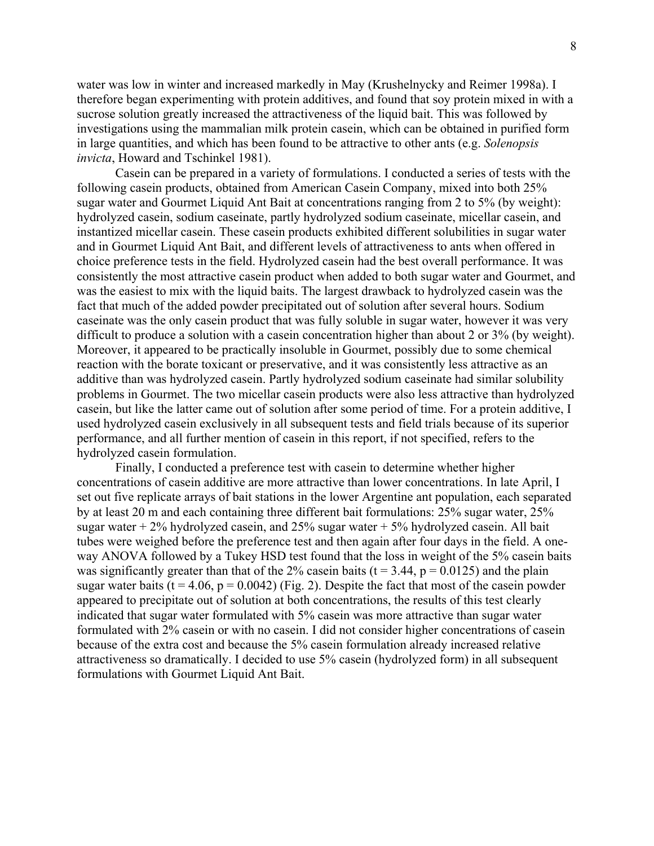water was low in winter and increased markedly in May (Krushelnycky and Reimer 1998a). I therefore began experimenting with protein additives, and found that soy protein mixed in with a sucrose solution greatly increased the attractiveness of the liquid bait. This was followed by investigations using the mammalian milk protein casein, which can be obtained in purified form in large quantities, and which has been found to be attractive to other ants (e.g. *Solenopsis invicta*, Howard and Tschinkel 1981).

 Casein can be prepared in a variety of formulations. I conducted a series of tests with the following casein products, obtained from American Casein Company, mixed into both 25% sugar water and Gourmet Liquid Ant Bait at concentrations ranging from 2 to 5% (by weight): hydrolyzed casein, sodium caseinate, partly hydrolyzed sodium caseinate, micellar casein, and instantized micellar casein. These casein products exhibited different solubilities in sugar water and in Gourmet Liquid Ant Bait, and different levels of attractiveness to ants when offered in choice preference tests in the field. Hydrolyzed casein had the best overall performance. It was consistently the most attractive casein product when added to both sugar water and Gourmet, and was the easiest to mix with the liquid baits. The largest drawback to hydrolyzed casein was the fact that much of the added powder precipitated out of solution after several hours. Sodium caseinate was the only casein product that was fully soluble in sugar water, however it was very difficult to produce a solution with a casein concentration higher than about 2 or 3% (by weight). Moreover, it appeared to be practically insoluble in Gourmet, possibly due to some chemical reaction with the borate toxicant or preservative, and it was consistently less attractive as an additive than was hydrolyzed casein. Partly hydrolyzed sodium caseinate had similar solubility problems in Gourmet. The two micellar casein products were also less attractive than hydrolyzed casein, but like the latter came out of solution after some period of time. For a protein additive, I used hydrolyzed casein exclusively in all subsequent tests and field trials because of its superior performance, and all further mention of casein in this report, if not specified, refers to the hydrolyzed casein formulation.

 Finally, I conducted a preference test with casein to determine whether higher concentrations of casein additive are more attractive than lower concentrations. In late April, I set out five replicate arrays of bait stations in the lower Argentine ant population, each separated by at least 20 m and each containing three different bait formulations: 25% sugar water, 25% sugar water  $+ 2\%$  hydrolyzed casein, and 25% sugar water  $+ 5\%$  hydrolyzed casein. All bait tubes were weighed before the preference test and then again after four days in the field. A oneway ANOVA followed by a Tukey HSD test found that the loss in weight of the 5% casein baits was significantly greater than that of the 2% case in baits ( $t = 3.44$ ,  $p = 0.0125$ ) and the plain sugar water baits ( $t = 4.06$ ,  $p = 0.0042$ ) (Fig. 2). Despite the fact that most of the casein powder appeared to precipitate out of solution at both concentrations, the results of this test clearly indicated that sugar water formulated with 5% casein was more attractive than sugar water formulated with 2% casein or with no casein. I did not consider higher concentrations of casein because of the extra cost and because the 5% casein formulation already increased relative attractiveness so dramatically. I decided to use 5% casein (hydrolyzed form) in all subsequent formulations with Gourmet Liquid Ant Bait.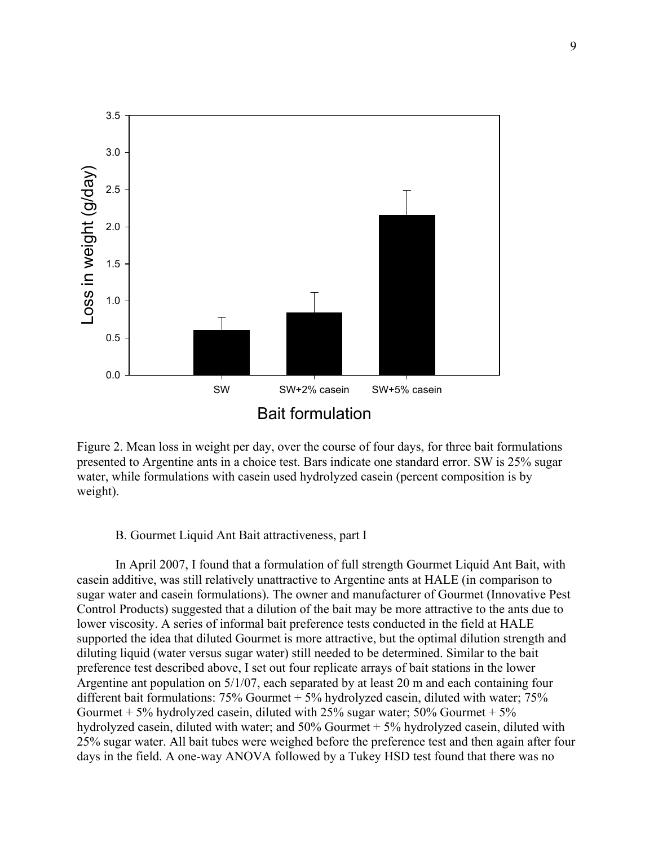

Figure 2. Mean loss in weight per day, over the course of four days, for three bait formulations presented to Argentine ants in a choice test. Bars indicate one standard error. SW is 25% sugar water, while formulations with casein used hydrolyzed casein (percent composition is by weight).

#### B. Gourmet Liquid Ant Bait attractiveness, part I

In April 2007, I found that a formulation of full strength Gourmet Liquid Ant Bait, with casein additive, was still relatively unattractive to Argentine ants at HALE (in comparison to sugar water and casein formulations). The owner and manufacturer of Gourmet (Innovative Pest Control Products) suggested that a dilution of the bait may be more attractive to the ants due to lower viscosity. A series of informal bait preference tests conducted in the field at HALE supported the idea that diluted Gourmet is more attractive, but the optimal dilution strength and diluting liquid (water versus sugar water) still needed to be determined. Similar to the bait preference test described above, I set out four replicate arrays of bait stations in the lower Argentine ant population on 5/1/07, each separated by at least 20 m and each containing four different bait formulations: 75% Gourmet + 5% hydrolyzed casein, diluted with water; 75% Gourmet  $+5\%$  hydrolyzed casein, diluted with 25% sugar water; 50% Gourmet  $+5\%$ hydrolyzed casein, diluted with water; and 50% Gourmet + 5% hydrolyzed casein, diluted with 25% sugar water. All bait tubes were weighed before the preference test and then again after four days in the field. A one-way ANOVA followed by a Tukey HSD test found that there was no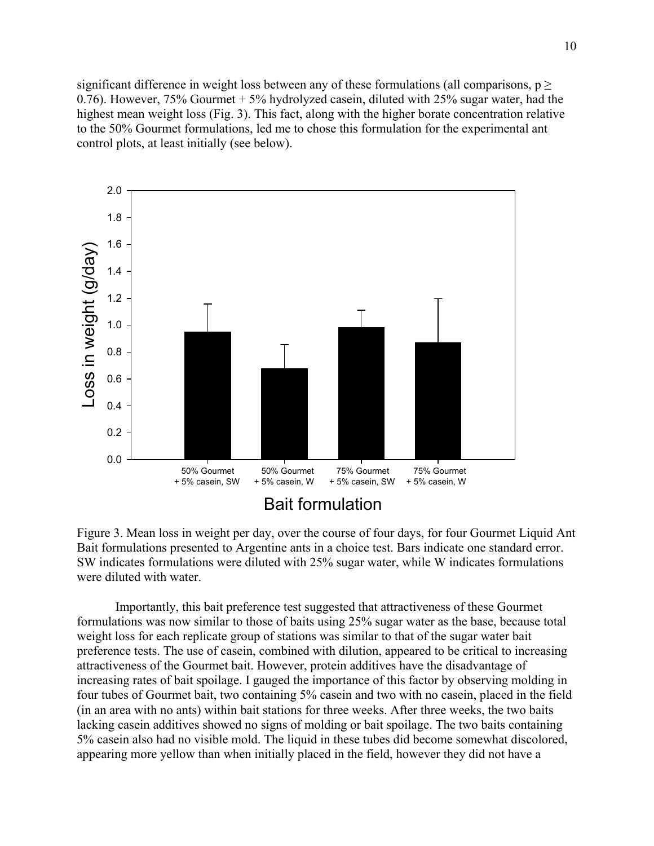significant difference in weight loss between any of these formulations (all comparisons,  $p \ge$ 0.76). However, 75% Gourmet + 5% hydrolyzed casein, diluted with 25% sugar water, had the highest mean weight loss (Fig. 3). This fact, along with the higher borate concentration relative to the 50% Gourmet formulations, led me to chose this formulation for the experimental ant control plots, at least initially (see below).



Figure 3. Mean loss in weight per day, over the course of four days, for four Gourmet Liquid Ant Bait formulations presented to Argentine ants in a choice test. Bars indicate one standard error. SW indicates formulations were diluted with 25% sugar water, while W indicates formulations were diluted with water.

Importantly, this bait preference test suggested that attractiveness of these Gourmet formulations was now similar to those of baits using 25% sugar water as the base, because total weight loss for each replicate group of stations was similar to that of the sugar water bait preference tests. The use of casein, combined with dilution, appeared to be critical to increasing attractiveness of the Gourmet bait. However, protein additives have the disadvantage of increasing rates of bait spoilage. I gauged the importance of this factor by observing molding in four tubes of Gourmet bait, two containing 5% casein and two with no casein, placed in the field (in an area with no ants) within bait stations for three weeks. After three weeks, the two baits lacking casein additives showed no signs of molding or bait spoilage. The two baits containing 5% casein also had no visible mold. The liquid in these tubes did become somewhat discolored, appearing more yellow than when initially placed in the field, however they did not have a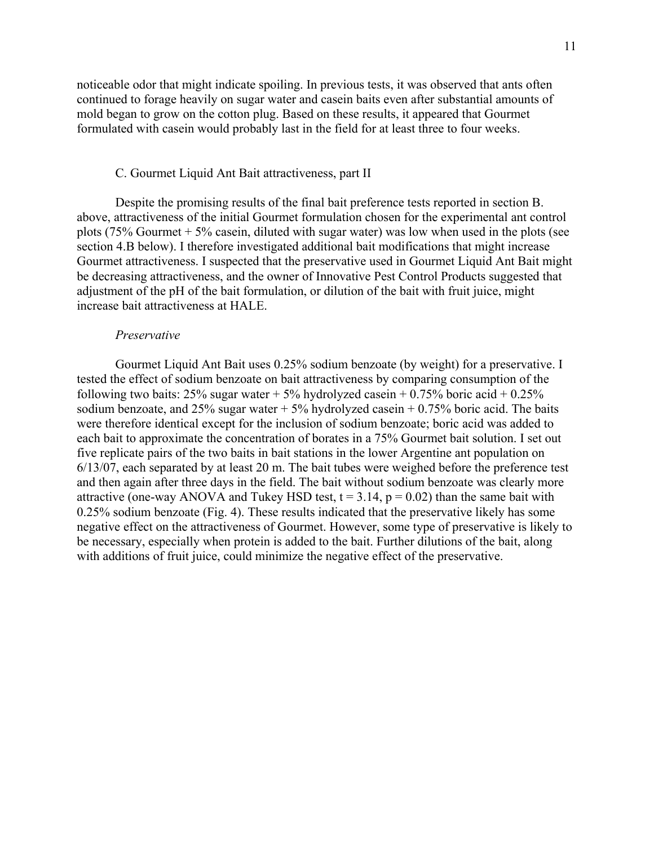noticeable odor that might indicate spoiling. In previous tests, it was observed that ants often continued to forage heavily on sugar water and casein baits even after substantial amounts of mold began to grow on the cotton plug. Based on these results, it appeared that Gourmet formulated with casein would probably last in the field for at least three to four weeks.

#### C. Gourmet Liquid Ant Bait attractiveness, part II

 Despite the promising results of the final bait preference tests reported in section B. above, attractiveness of the initial Gourmet formulation chosen for the experimental ant control plots (75% Gourmet + 5% casein, diluted with sugar water) was low when used in the plots (see section 4.B below). I therefore investigated additional bait modifications that might increase Gourmet attractiveness. I suspected that the preservative used in Gourmet Liquid Ant Bait might be decreasing attractiveness, and the owner of Innovative Pest Control Products suggested that adjustment of the pH of the bait formulation, or dilution of the bait with fruit juice, might increase bait attractiveness at HALE.

#### *Preservative*

 Gourmet Liquid Ant Bait uses 0.25% sodium benzoate (by weight) for a preservative. I tested the effect of sodium benzoate on bait attractiveness by comparing consumption of the following two baits:  $25\%$  sugar water +  $5\%$  hydrolyzed case in + 0.75% boric acid + 0.25% sodium benzoate, and  $25\%$  sugar water  $+5\%$  hydrolyzed casein  $+0.75\%$  boric acid. The baits were therefore identical except for the inclusion of sodium benzoate; boric acid was added to each bait to approximate the concentration of borates in a 75% Gourmet bait solution. I set out five replicate pairs of the two baits in bait stations in the lower Argentine ant population on 6/13/07, each separated by at least 20 m. The bait tubes were weighed before the preference test and then again after three days in the field. The bait without sodium benzoate was clearly more attractive (one-way ANOVA and Tukey HSD test,  $t = 3.14$ ,  $p = 0.02$ ) than the same bait with 0.25% sodium benzoate (Fig. 4). These results indicated that the preservative likely has some negative effect on the attractiveness of Gourmet. However, some type of preservative is likely to be necessary, especially when protein is added to the bait. Further dilutions of the bait, along with additions of fruit juice, could minimize the negative effect of the preservative.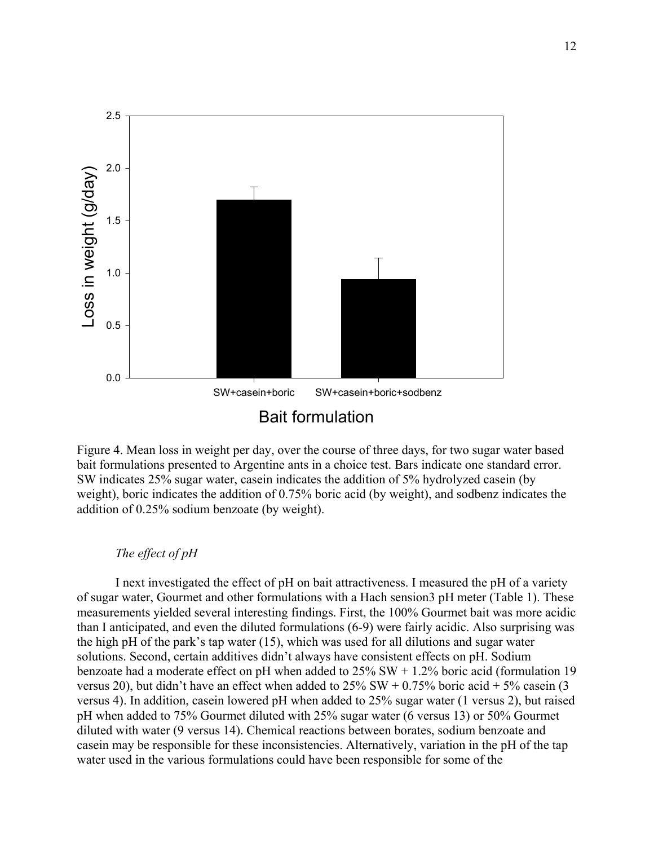

Figure 4. Mean loss in weight per day, over the course of three days, for two sugar water based bait formulations presented to Argentine ants in a choice test. Bars indicate one standard error. SW indicates 25% sugar water, casein indicates the addition of 5% hydrolyzed casein (by weight), boric indicates the addition of 0.75% boric acid (by weight), and sodbenz indicates the addition of 0.25% sodium benzoate (by weight).

### *The effect of pH*

I next investigated the effect of pH on bait attractiveness. I measured the pH of a variety of sugar water, Gourmet and other formulations with a Hach sension3 pH meter (Table 1). These measurements yielded several interesting findings. First, the 100% Gourmet bait was more acidic than I anticipated, and even the diluted formulations (6-9) were fairly acidic. Also surprising was the high pH of the park's tap water (15), which was used for all dilutions and sugar water solutions. Second, certain additives didn't always have consistent effects on pH. Sodium benzoate had a moderate effect on pH when added to  $25\%$  SW + 1.2% boric acid (formulation 19 versus 20), but didn't have an effect when added to  $25\%$  SW + 0.75% boric acid + 5% casein (3) versus 4). In addition, casein lowered pH when added to 25% sugar water (1 versus 2), but raised pH when added to 75% Gourmet diluted with 25% sugar water (6 versus 13) or 50% Gourmet diluted with water (9 versus 14). Chemical reactions between borates, sodium benzoate and casein may be responsible for these inconsistencies. Alternatively, variation in the pH of the tap water used in the various formulations could have been responsible for some of the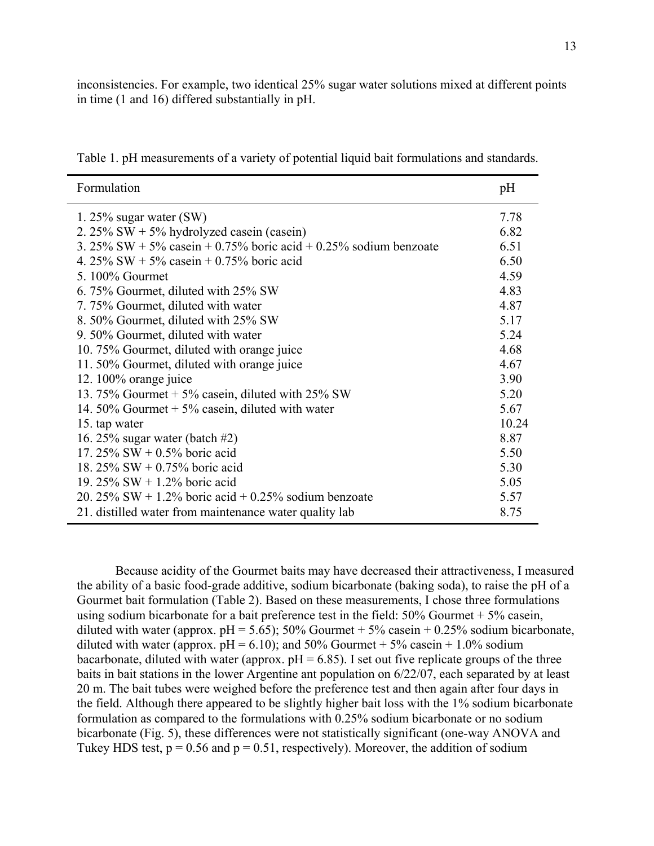inconsistencies. For example, two identical 25% sugar water solutions mixed at different points in time (1 and 16) differed substantially in pH.

| Formulation                                                          | pH    |
|----------------------------------------------------------------------|-------|
| 1. 25% sugar water $(SW)$                                            | 7.78  |
| 2. $25\%$ SW + 5% hydrolyzed casein (casein)                         | 6.82  |
| 3. $25\%$ SW + 5% case in + 0.75% boric acid + 0.25% sodium benzoate | 6.51  |
| 4. $25\%$ SW + 5% case in + 0.75% boric acid                         | 6.50  |
| 5.100% Gourmet                                                       | 4.59  |
| 6.75% Gourmet, diluted with 25% SW                                   | 4.83  |
| 7.75% Gourmet, diluted with water                                    | 4.87  |
| 8.50% Gourmet, diluted with 25% SW                                   | 5.17  |
| 9.50% Gourmet, diluted with water                                    | 5.24  |
| 10.75% Gourmet, diluted with orange juice                            | 4.68  |
| 11.50% Gourmet, diluted with orange juice                            | 4.67  |
| 12. $100\%$ orange juice                                             | 3.90  |
| 13. 75% Gourmet $+5\%$ casein, diluted with 25% SW                   | 5.20  |
| 14. 50% Gourmet $+5%$ casein, diluted with water                     | 5.67  |
| 15. tap water                                                        | 10.24 |
| 16. 25% sugar water (batch $#2$ )                                    | 8.87  |
| 17. $25\%$ SW + 0.5% boric acid                                      | 5.50  |
| 18. 25% SW + 0.75% boric acid                                        | 5.30  |
| 19. 25% SW + 1.2% boric acid                                         | 5.05  |
| 20. 25% SW + 1.2% boric acid + 0.25% sodium benzoate                 | 5.57  |
| 21. distilled water from maintenance water quality lab               | 8.75  |

Table 1. pH measurements of a variety of potential liquid bait formulations and standards.

Because acidity of the Gourmet baits may have decreased their attractiveness, I measured the ability of a basic food-grade additive, sodium bicarbonate (baking soda), to raise the pH of a Gourmet bait formulation (Table 2). Based on these measurements, I chose three formulations using sodium bicarbonate for a bait preference test in the field: 50% Gourmet + 5% casein, diluted with water (approx.  $pH = 5.65$ ); 50% Gourmet + 5% casein + 0.25% sodium bicarbonate, diluted with water (approx.  $pH = 6.10$ ); and 50% Gourmet + 5% casein + 1.0% sodium bacarbonate, diluted with water (approx.  $pH = 6.85$ ). I set out five replicate groups of the three baits in bait stations in the lower Argentine ant population on 6/22/07, each separated by at least 20 m. The bait tubes were weighed before the preference test and then again after four days in the field. Although there appeared to be slightly higher bait loss with the 1% sodium bicarbonate formulation as compared to the formulations with 0.25% sodium bicarbonate or no sodium bicarbonate (Fig. 5), these differences were not statistically significant (one-way ANOVA and Tukey HDS test,  $p = 0.56$  and  $p = 0.51$ , respectively). Moreover, the addition of sodium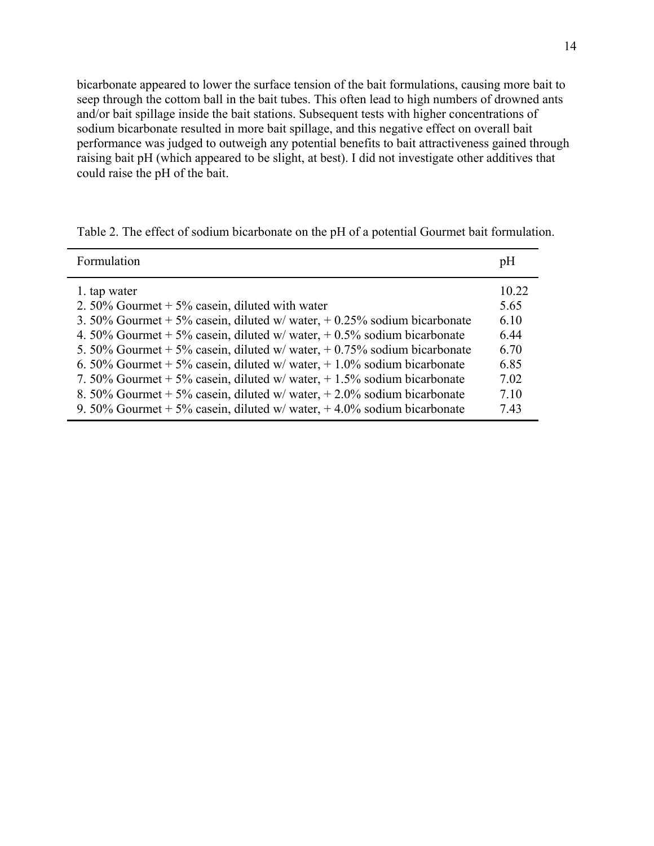bicarbonate appeared to lower the surface tension of the bait formulations, causing more bait to seep through the cottom ball in the bait tubes. This often lead to high numbers of drowned ants and/or bait spillage inside the bait stations. Subsequent tests with higher concentrations of sodium bicarbonate resulted in more bait spillage, and this negative effect on overall bait performance was judged to outweigh any potential benefits to bait attractiveness gained through raising bait pH (which appeared to be slight, at best). I did not investigate other additives that could raise the pH of the bait.

| 10.22<br>1. tap water<br>5.65<br>2. 50% Gourmet $+5\%$ casein, diluted with water<br>3. 50% Gourmet + 5% casein, diluted w/ water, $+$ 0.25% sodium bicarbonate<br>6.10<br>4. 50% Gourmet + 5% casein, diluted w/ water, $+$ 0.5% sodium bicarbonate<br>6.44<br>5. 50% Gourmet $+5\%$ casein, diluted w/ water, $+0.75\%$ sodium bicarbonate<br>6.70 |  |
|------------------------------------------------------------------------------------------------------------------------------------------------------------------------------------------------------------------------------------------------------------------------------------------------------------------------------------------------------|--|
| 6. 50% Gourmet + 5% casein, diluted w/ water, $+1.0\%$ sodium bicarbonate<br>6.85<br>7. 50% Gourmet $+5\%$ casein, diluted w/ water, $+1.5\%$ sodium bicarbonate<br>7.02                                                                                                                                                                             |  |
| 8. 50% Gourmet + 5% casein, diluted w/ water, $+2.0\%$ sodium bicarbonate<br>7.10<br>9. 50% Gourmet + 5% casein, diluted w/ water, $+4.0\%$ sodium bicarbonate<br>7.43                                                                                                                                                                               |  |

Table 2. The effect of sodium bicarbonate on the pH of a potential Gourmet bait formulation.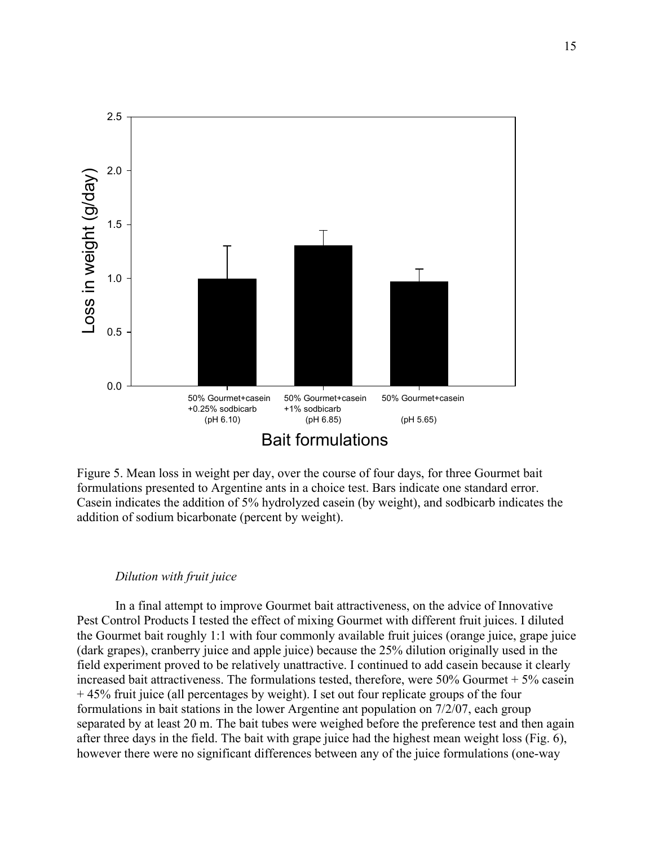

Figure 5. Mean loss in weight per day, over the course of four days, for three Gourmet bait formulations presented to Argentine ants in a choice test. Bars indicate one standard error. Casein indicates the addition of 5% hydrolyzed casein (by weight), and sodbicarb indicates the addition of sodium bicarbonate (percent by weight).

## *Dilution with fruit juice*

In a final attempt to improve Gourmet bait attractiveness, on the advice of Innovative Pest Control Products I tested the effect of mixing Gourmet with different fruit juices. I diluted the Gourmet bait roughly 1:1 with four commonly available fruit juices (orange juice, grape juice (dark grapes), cranberry juice and apple juice) because the 25% dilution originally used in the field experiment proved to be relatively unattractive. I continued to add casein because it clearly increased bait attractiveness. The formulations tested, therefore, were 50% Gourmet + 5% casein + 45% fruit juice (all percentages by weight). I set out four replicate groups of the four formulations in bait stations in the lower Argentine ant population on 7/2/07, each group separated by at least 20 m. The bait tubes were weighed before the preference test and then again after three days in the field. The bait with grape juice had the highest mean weight loss (Fig. 6), however there were no significant differences between any of the juice formulations (one-way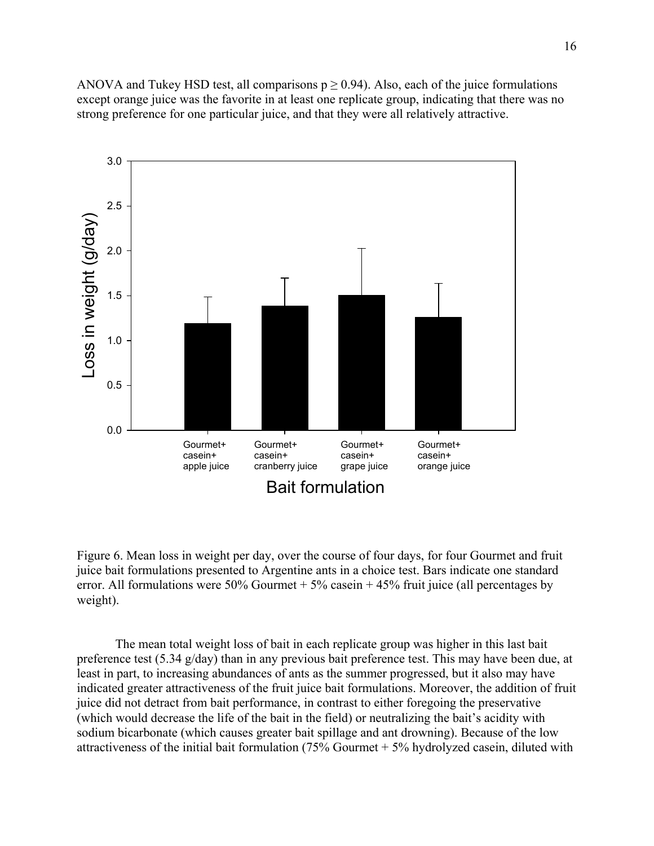ANOVA and Tukey HSD test, all comparisons  $p \ge 0.94$ ). Also, each of the juice formulations except orange juice was the favorite in at least one replicate group, indicating that there was no strong preference for one particular juice, and that they were all relatively attractive.



Figure 6. Mean loss in weight per day, over the course of four days, for four Gourmet and fruit juice bait formulations presented to Argentine ants in a choice test. Bars indicate one standard error. All formulations were 50% Gourmet  $+5\%$  casein  $+45\%$  fruit juice (all percentages by weight).

The mean total weight loss of bait in each replicate group was higher in this last bait preference test (5.34 g/day) than in any previous bait preference test. This may have been due, at least in part, to increasing abundances of ants as the summer progressed, but it also may have indicated greater attractiveness of the fruit juice bait formulations. Moreover, the addition of fruit juice did not detract from bait performance, in contrast to either foregoing the preservative (which would decrease the life of the bait in the field) or neutralizing the bait's acidity with sodium bicarbonate (which causes greater bait spillage and ant drowning). Because of the low attractiveness of the initial bait formulation (75% Gourmet + 5% hydrolyzed casein, diluted with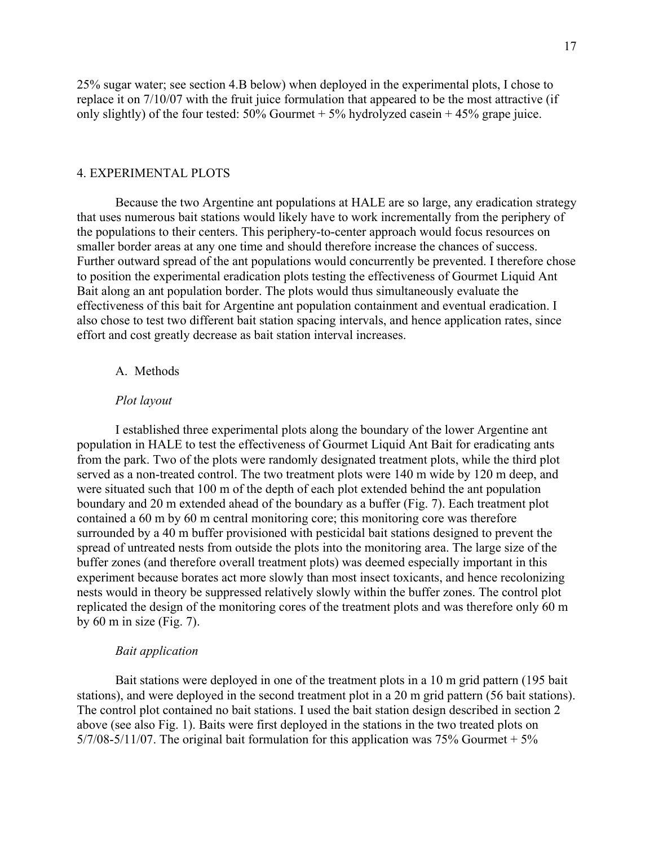25% sugar water; see section 4.B below) when deployed in the experimental plots, I chose to replace it on 7/10/07 with the fruit juice formulation that appeared to be the most attractive (if only slightly) of the four tested:  $50\%$  Gourmet +  $5\%$  hydrolyzed case in + 45% grape juice.

### 4. EXPERIMENTAL PLOTS

Because the two Argentine ant populations at HALE are so large, any eradication strategy that uses numerous bait stations would likely have to work incrementally from the periphery of the populations to their centers. This periphery-to-center approach would focus resources on smaller border areas at any one time and should therefore increase the chances of success. Further outward spread of the ant populations would concurrently be prevented. I therefore chose to position the experimental eradication plots testing the effectiveness of Gourmet Liquid Ant Bait along an ant population border. The plots would thus simultaneously evaluate the effectiveness of this bait for Argentine ant population containment and eventual eradication. I also chose to test two different bait station spacing intervals, and hence application rates, since effort and cost greatly decrease as bait station interval increases.

#### A. Methods

#### *Plot layout*

I established three experimental plots along the boundary of the lower Argentine ant population in HALE to test the effectiveness of Gourmet Liquid Ant Bait for eradicating ants from the park. Two of the plots were randomly designated treatment plots, while the third plot served as a non-treated control. The two treatment plots were 140 m wide by 120 m deep, and were situated such that 100 m of the depth of each plot extended behind the ant population boundary and 20 m extended ahead of the boundary as a buffer (Fig. 7). Each treatment plot contained a 60 m by 60 m central monitoring core; this monitoring core was therefore surrounded by a 40 m buffer provisioned with pesticidal bait stations designed to prevent the spread of untreated nests from outside the plots into the monitoring area. The large size of the buffer zones (and therefore overall treatment plots) was deemed especially important in this experiment because borates act more slowly than most insect toxicants, and hence recolonizing nests would in theory be suppressed relatively slowly within the buffer zones. The control plot replicated the design of the monitoring cores of the treatment plots and was therefore only 60 m by 60 m in size (Fig.  $7$ ).

### *Bait application*

Bait stations were deployed in one of the treatment plots in a 10 m grid pattern (195 bait stations), and were deployed in the second treatment plot in a 20 m grid pattern (56 bait stations). The control plot contained no bait stations. I used the bait station design described in section 2 above (see also Fig. 1). Baits were first deployed in the stations in the two treated plots on  $5/7/08-5/11/07$ . The original bait formulation for this application was 75% Gourmet + 5%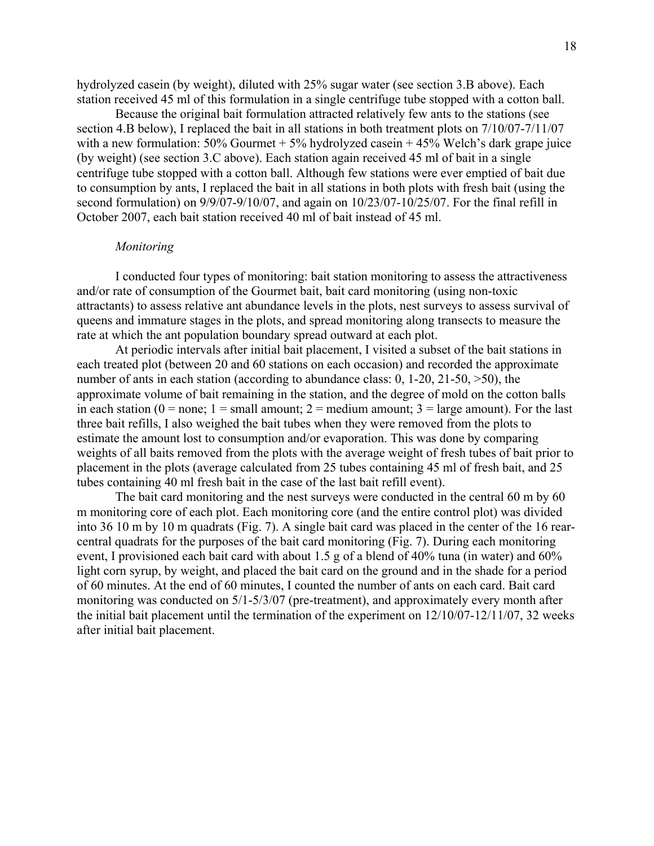hydrolyzed casein (by weight), diluted with 25% sugar water (see section 3.B above). Each station received 45 ml of this formulation in a single centrifuge tube stopped with a cotton ball.

 Because the original bait formulation attracted relatively few ants to the stations (see section 4.B below), I replaced the bait in all stations in both treatment plots on 7/10/07-7/11/07 with a new formulation:  $50\%$  Gourmet +  $5\%$  hydrolyzed case in +  $45\%$  Welch's dark grape juice (by weight) (see section 3.C above). Each station again received 45 ml of bait in a single centrifuge tube stopped with a cotton ball. Although few stations were ever emptied of bait due to consumption by ants, I replaced the bait in all stations in both plots with fresh bait (using the second formulation) on 9/9/07-9/10/07, and again on 10/23/07-10/25/07. For the final refill in October 2007, each bait station received 40 ml of bait instead of 45 ml.

### *Monitoring*

 I conducted four types of monitoring: bait station monitoring to assess the attractiveness and/or rate of consumption of the Gourmet bait, bait card monitoring (using non-toxic attractants) to assess relative ant abundance levels in the plots, nest surveys to assess survival of queens and immature stages in the plots, and spread monitoring along transects to measure the rate at which the ant population boundary spread outward at each plot.

At periodic intervals after initial bait placement, I visited a subset of the bait stations in each treated plot (between 20 and 60 stations on each occasion) and recorded the approximate number of ants in each station (according to abundance class: 0, 1-20, 21-50,  $>50$ ), the approximate volume of bait remaining in the station, and the degree of mold on the cotton balls in each station ( $0 = none$ ;  $1 = small$  amount;  $2 = medium$  amount;  $3 = large$  amount). For the last three bait refills, I also weighed the bait tubes when they were removed from the plots to estimate the amount lost to consumption and/or evaporation. This was done by comparing weights of all baits removed from the plots with the average weight of fresh tubes of bait prior to placement in the plots (average calculated from 25 tubes containing 45 ml of fresh bait, and 25 tubes containing 40 ml fresh bait in the case of the last bait refill event).

 The bait card monitoring and the nest surveys were conducted in the central 60 m by 60 m monitoring core of each plot. Each monitoring core (and the entire control plot) was divided into 36 10 m by 10 m quadrats (Fig. 7). A single bait card was placed in the center of the 16 rearcentral quadrats for the purposes of the bait card monitoring (Fig. 7). During each monitoring event, I provisioned each bait card with about 1.5 g of a blend of 40% tuna (in water) and 60% light corn syrup, by weight, and placed the bait card on the ground and in the shade for a period of 60 minutes. At the end of 60 minutes, I counted the number of ants on each card. Bait card monitoring was conducted on 5/1-5/3/07 (pre-treatment), and approximately every month after the initial bait placement until the termination of the experiment on 12/10/07-12/11/07, 32 weeks after initial bait placement.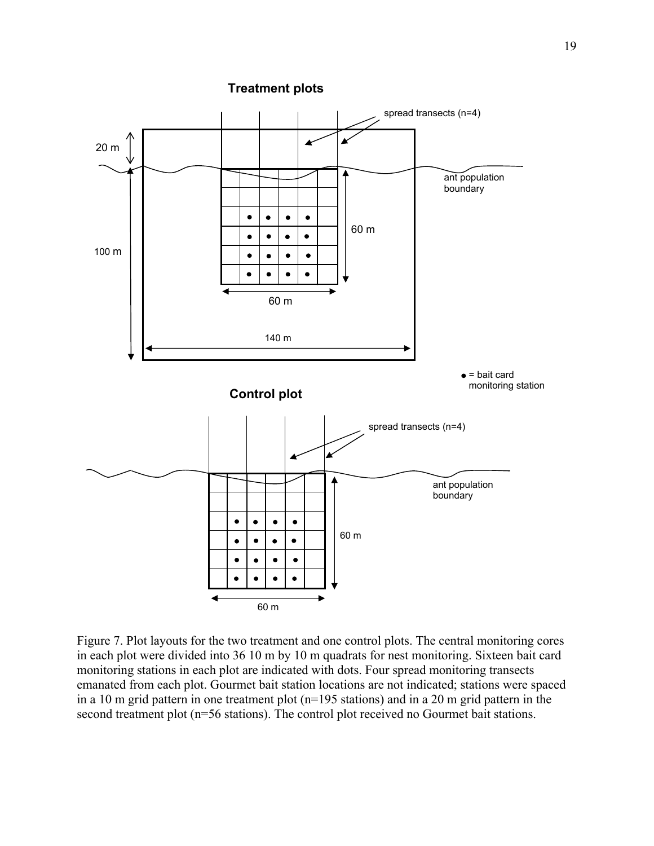

Figure 7. Plot layouts for the two treatment and one control plots. The central monitoring cores in each plot were divided into 36 10 m by 10 m quadrats for nest monitoring. Sixteen bait card monitoring stations in each plot are indicated with dots. Four spread monitoring transects emanated from each plot. Gourmet bait station locations are not indicated; stations were spaced in a 10 m grid pattern in one treatment plot (n=195 stations) and in a 20 m grid pattern in the second treatment plot (n=56 stations). The control plot received no Gourmet bait stations.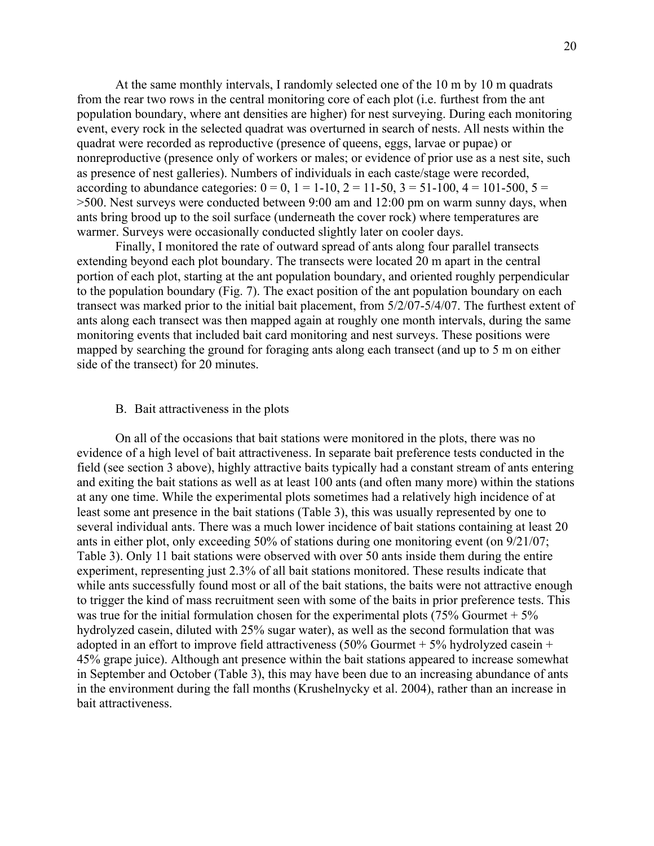At the same monthly intervals, I randomly selected one of the 10 m by 10 m quadrats from the rear two rows in the central monitoring core of each plot (i.e. furthest from the ant population boundary, where ant densities are higher) for nest surveying. During each monitoring event, every rock in the selected quadrat was overturned in search of nests. All nests within the quadrat were recorded as reproductive (presence of queens, eggs, larvae or pupae) or nonreproductive (presence only of workers or males; or evidence of prior use as a nest site, such as presence of nest galleries). Numbers of individuals in each caste/stage were recorded, according to abundance categories:  $0 = 0$ ,  $1 = 1-10$ ,  $2 = 11-50$ ,  $3 = 51-100$ ,  $4 = 101-500$ ,  $5 =$ >500. Nest surveys were conducted between 9:00 am and 12:00 pm on warm sunny days, when ants bring brood up to the soil surface (underneath the cover rock) where temperatures are warmer. Surveys were occasionally conducted slightly later on cooler days.

Finally, I monitored the rate of outward spread of ants along four parallel transects extending beyond each plot boundary. The transects were located 20 m apart in the central portion of each plot, starting at the ant population boundary, and oriented roughly perpendicular to the population boundary (Fig. 7). The exact position of the ant population boundary on each transect was marked prior to the initial bait placement, from 5/2/07-5/4/07. The furthest extent of ants along each transect was then mapped again at roughly one month intervals, during the same monitoring events that included bait card monitoring and nest surveys. These positions were mapped by searching the ground for foraging ants along each transect (and up to 5 m on either side of the transect) for 20 minutes.

#### B. Bait attractiveness in the plots

On all of the occasions that bait stations were monitored in the plots, there was no evidence of a high level of bait attractiveness. In separate bait preference tests conducted in the field (see section 3 above), highly attractive baits typically had a constant stream of ants entering and exiting the bait stations as well as at least 100 ants (and often many more) within the stations at any one time. While the experimental plots sometimes had a relatively high incidence of at least some ant presence in the bait stations (Table 3), this was usually represented by one to several individual ants. There was a much lower incidence of bait stations containing at least 20 ants in either plot, only exceeding 50% of stations during one monitoring event (on 9/21/07; Table 3). Only 11 bait stations were observed with over 50 ants inside them during the entire experiment, representing just 2.3% of all bait stations monitored. These results indicate that while ants successfully found most or all of the bait stations, the baits were not attractive enough to trigger the kind of mass recruitment seen with some of the baits in prior preference tests. This was true for the initial formulation chosen for the experimental plots  $(75\%$  Gourmet +  $5\%$ hydrolyzed casein, diluted with 25% sugar water), as well as the second formulation that was adopted in an effort to improve field attractiveness (50% Gourmet + 5% hydrolyzed casein + 45% grape juice). Although ant presence within the bait stations appeared to increase somewhat in September and October (Table 3), this may have been due to an increasing abundance of ants in the environment during the fall months (Krushelnycky et al. 2004), rather than an increase in bait attractiveness.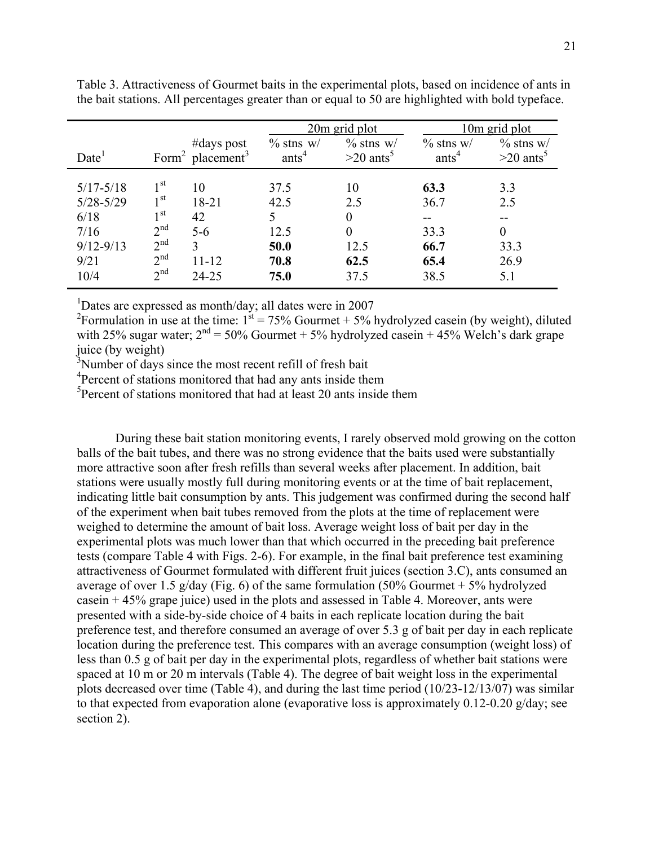|                                                                                 |                                                                                                                                   |                                                         | $20m$ grid plot                                                          |                                                           | 10m grid plot                                         |                                                       |
|---------------------------------------------------------------------------------|-----------------------------------------------------------------------------------------------------------------------------------|---------------------------------------------------------|--------------------------------------------------------------------------|-----------------------------------------------------------|-------------------------------------------------------|-------------------------------------------------------|
| Date <sup>1</sup>                                                               |                                                                                                                                   | #days post<br>Form <sup>2</sup> placement <sup>3</sup>  | $\%$ stns w/<br>ants <sup>4</sup>                                        | $\%$ stns w/<br>$>20$ ants <sup>5</sup>                   | $\%$ stns w/<br>ants <sup>4</sup>                     | $\%$ stns w/<br>$>20$ ants <sup>3</sup>               |
| $5/17 - 5/18$<br>$5/28 - 5/29$<br>6/18<br>7/16<br>$9/12 - 9/13$<br>9/21<br>10/4 | 1 <sup>st</sup><br>1 <sup>st</sup><br>1 <sup>st</sup><br>2 <sup>nd</sup><br>2 <sup>nd</sup><br>2 <sup>nd</sup><br>2 <sup>nd</sup> | 10<br>18-21<br>42<br>$5 - 6$<br>3<br>$11 - 12$<br>24-25 | 37.5<br>42.5<br>$\overline{\mathcal{L}}$<br>12.5<br>50.0<br>70.8<br>75.0 | 10<br>2.5<br>$\theta$<br>$\theta$<br>12.5<br>62.5<br>37.5 | 63.3<br>36.7<br>$- -$<br>33.3<br>66.7<br>65.4<br>38.5 | 3.3<br>2.5<br>$\boldsymbol{0}$<br>33.3<br>26.9<br>5.1 |

Table 3. Attractiveness of Gourmet baits in the experimental plots, based on incidence of ants in the bait stations. All percentages greater than or equal to 50 are highlighted with bold typeface.

<sup>1</sup>Dates are expressed as month/day; all dates were in 2007

<sup>2</sup>Formulation in use at the time:  $1<sup>st</sup> = 75%$  Gourmet + 5% hydrolyzed casein (by weight), diluted with 25% sugar water;  $2^{nd} = 50\%$  Gourmet + 5% hydrolyzed casein + 45% Welch's dark grape juice (by weight)

<sup>3</sup>Number of days since the most recent refill of fresh bait

<sup>4</sup>Percent of stations monitored that had any ants inside them

<sup>5</sup>Percent of stations monitored that had at least 20 ants inside them

During these bait station monitoring events, I rarely observed mold growing on the cotton balls of the bait tubes, and there was no strong evidence that the baits used were substantially more attractive soon after fresh refills than several weeks after placement. In addition, bait stations were usually mostly full during monitoring events or at the time of bait replacement, indicating little bait consumption by ants. This judgement was confirmed during the second half of the experiment when bait tubes removed from the plots at the time of replacement were weighed to determine the amount of bait loss. Average weight loss of bait per day in the experimental plots was much lower than that which occurred in the preceding bait preference tests (compare Table 4 with Figs. 2-6). For example, in the final bait preference test examining attractiveness of Gourmet formulated with different fruit juices (section 3.C), ants consumed an average of over 1.5 g/day (Fig. 6) of the same formulation (50% Gourmet + 5% hydrolyzed casein + 45% grape juice) used in the plots and assessed in Table 4. Moreover, ants were presented with a side-by-side choice of 4 baits in each replicate location during the bait preference test, and therefore consumed an average of over 5.3 g of bait per day in each replicate location during the preference test. This compares with an average consumption (weight loss) of less than 0.5 g of bait per day in the experimental plots, regardless of whether bait stations were spaced at 10 m or 20 m intervals (Table 4). The degree of bait weight loss in the experimental plots decreased over time (Table 4), and during the last time period (10/23-12/13/07) was similar to that expected from evaporation alone (evaporative loss is approximately 0.12-0.20 g/day; see section 2).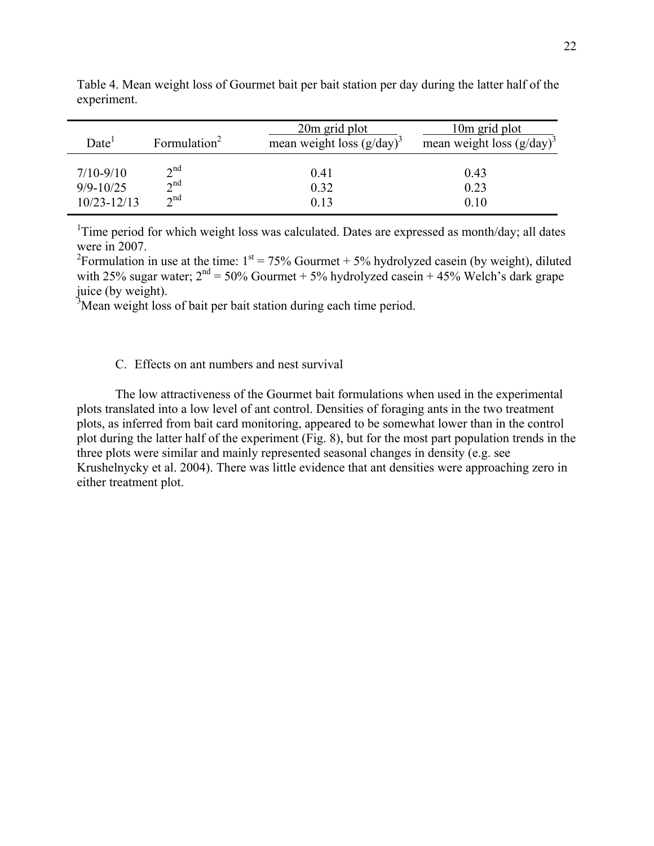| $\text{Date}^1$ | Formulation <sup>2</sup> | 20 <sub>m</sub> grid plot<br>mean weight loss $(g/day)^3$ | 10 <sub>m</sub> grid plot<br>mean weight loss $(g/day)^3$ |
|-----------------|--------------------------|-----------------------------------------------------------|-----------------------------------------------------------|
| $7/10 - 9/10$   | $\gamma$ nd              | 0.41                                                      | 0.43                                                      |
| $9/9 - 10/25$   | $\gamma$ nd              | 0.32                                                      | 0.23                                                      |
| $10/23 - 12/13$ | $\gamma$ nd              | 0.13                                                      | 0.10                                                      |

Table 4. Mean weight loss of Gourmet bait per bait station per day during the latter half of the experiment.

<sup>1</sup>Time period for which weight loss was calculated. Dates are expressed as month/day; all dates were in 2007.

<sup>2</sup>Formulation in use at the time:  $1<sup>st</sup> = 75%$  Gourmet + 5% hydrolyzed casein (by weight), diluted with 25% sugar water;  $2^{nd} = 50\%$  Gourmet + 5% hydrolyzed casein + 45% Welch's dark grape juice (by weight).

<sup>3</sup>Mean weight loss of bait per bait station during each time period.

### C. Effects on ant numbers and nest survival

The low attractiveness of the Gourmet bait formulations when used in the experimental plots translated into a low level of ant control. Densities of foraging ants in the two treatment plots, as inferred from bait card monitoring, appeared to be somewhat lower than in the control plot during the latter half of the experiment (Fig. 8), but for the most part population trends in the three plots were similar and mainly represented seasonal changes in density (e.g. see Krushelnycky et al. 2004). There was little evidence that ant densities were approaching zero in either treatment plot.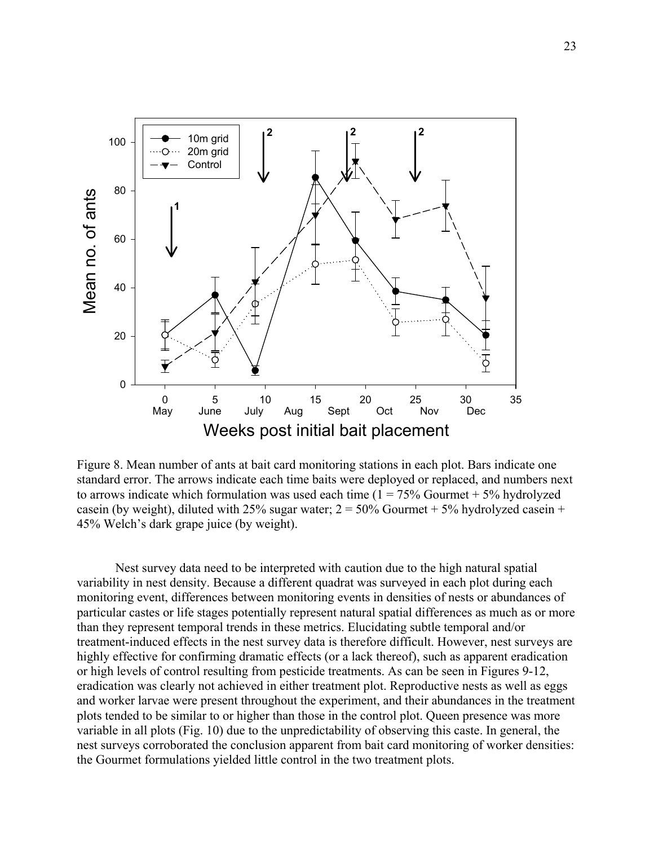

Figure 8. Mean number of ants at bait card monitoring stations in each plot. Bars indicate one standard error. The arrows indicate each time baits were deployed or replaced, and numbers next to arrows indicate which formulation was used each time  $(1 = 75\%$  Gourmet  $+ 5\%$  hydrolyzed casein (by weight), diluted with 25% sugar water;  $2 = 50\%$  Gourmet + 5% hydrolyzed casein + 45% Welch's dark grape juice (by weight).

Nest survey data need to be interpreted with caution due to the high natural spatial variability in nest density. Because a different quadrat was surveyed in each plot during each monitoring event, differences between monitoring events in densities of nests or abundances of particular castes or life stages potentially represent natural spatial differences as much as or more than they represent temporal trends in these metrics. Elucidating subtle temporal and/or treatment-induced effects in the nest survey data is therefore difficult. However, nest surveys are highly effective for confirming dramatic effects (or a lack thereof), such as apparent eradication or high levels of control resulting from pesticide treatments. As can be seen in Figures 9-12, eradication was clearly not achieved in either treatment plot. Reproductive nests as well as eggs and worker larvae were present throughout the experiment, and their abundances in the treatment plots tended to be similar to or higher than those in the control plot. Queen presence was more variable in all plots (Fig. 10) due to the unpredictability of observing this caste. In general, the nest surveys corroborated the conclusion apparent from bait card monitoring of worker densities: the Gourmet formulations yielded little control in the two treatment plots.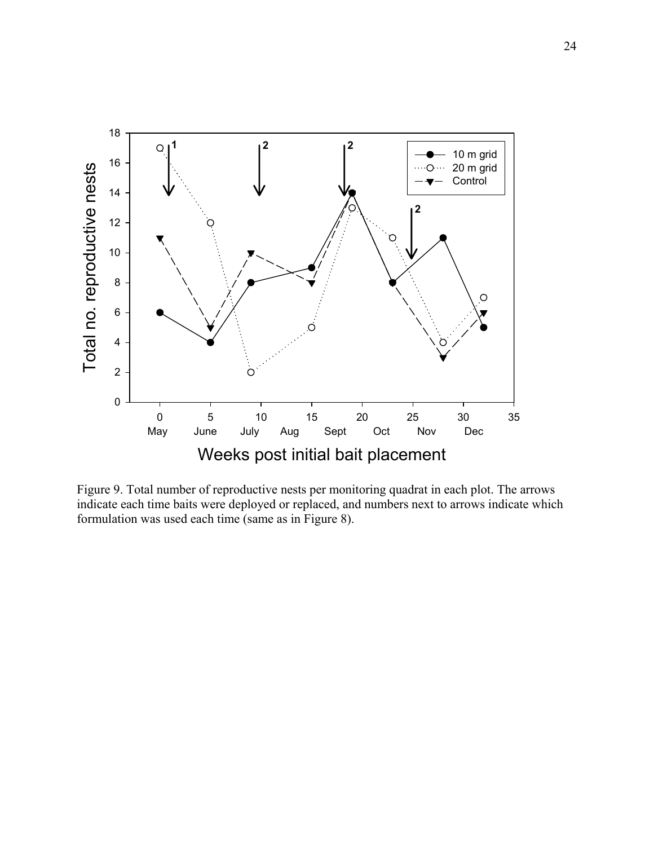

Figure 9. Total number of reproductive nests per monitoring quadrat in each plot. The arrows indicate each time baits were deployed or replaced, and numbers next to arrows indicate which formulation was used each time (same as in Figure 8).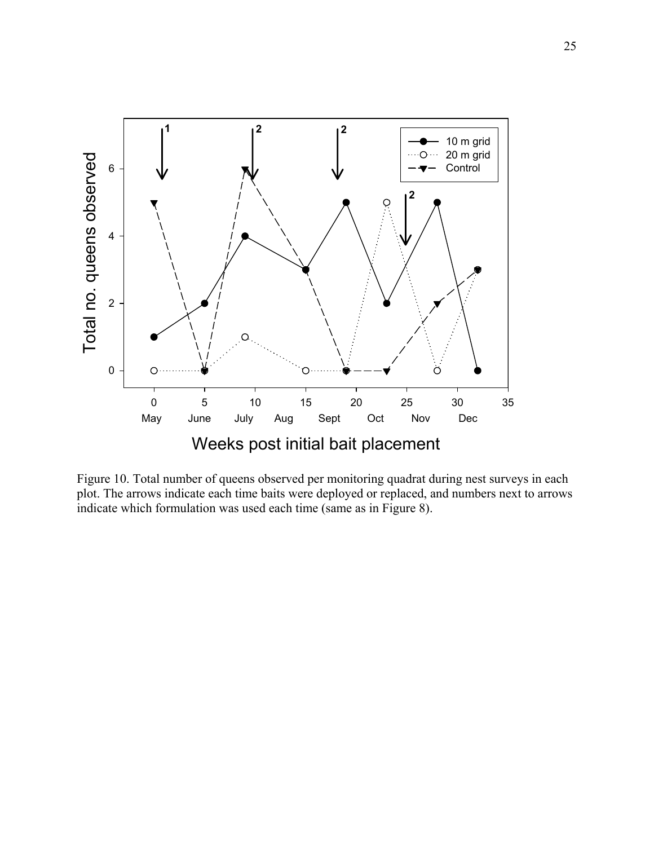

Figure 10. Total number of queens observed per monitoring quadrat during nest surveys in each plot. The arrows indicate each time baits were deployed or replaced, and numbers next to arrows indicate which formulation was used each time (same as in Figure 8).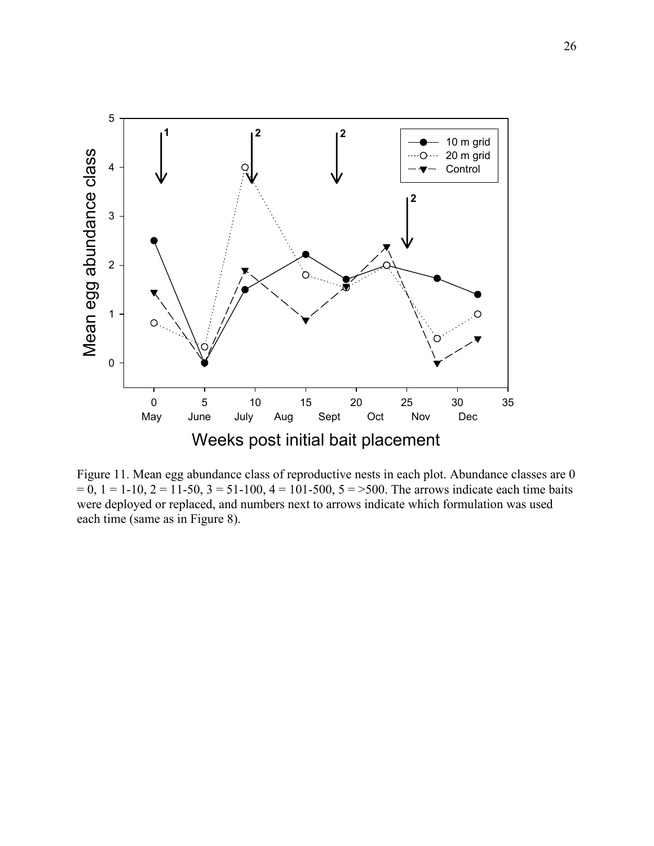

Figure 11. Mean egg abundance class of reproductive nests in each plot. Abundance classes are 0  $= 0$ ,  $1 = 1-10$ ,  $2 = 11-50$ ,  $3 = 51-100$ ,  $4 = 101-500$ ,  $5 = 500$ . The arrows indicate each time baits were deployed or replaced, and numbers next to arrows indicate which formulation was used each time (same as in Figure 8).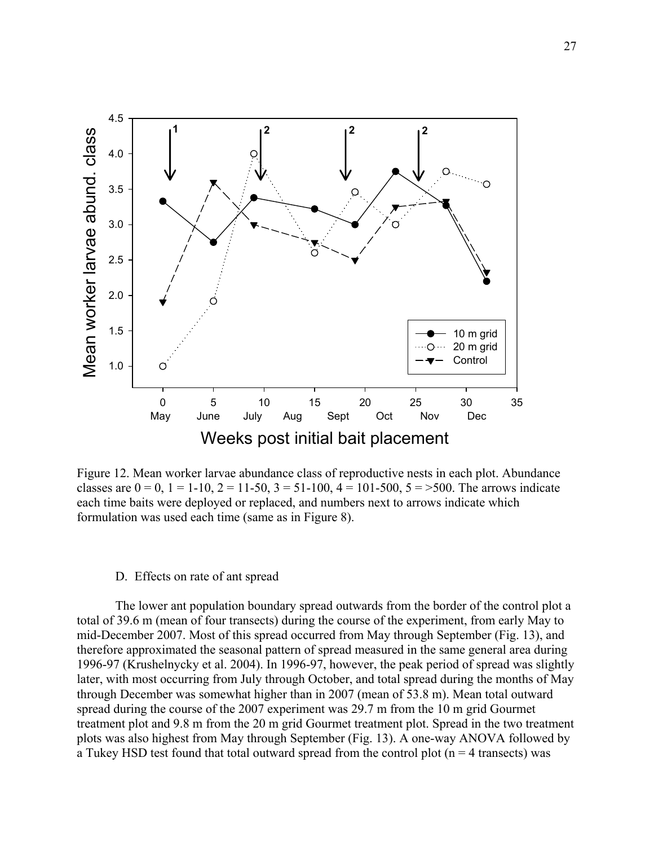

Figure 12. Mean worker larvae abundance class of reproductive nests in each plot. Abundance classes are  $0 = 0$ ,  $1 = 1-10$ ,  $2 = 11-50$ ,  $3 = 51-100$ ,  $4 = 101-500$ ,  $5 = 500$ . The arrows indicate each time baits were deployed or replaced, and numbers next to arrows indicate which formulation was used each time (same as in Figure 8).

#### D. Effects on rate of ant spread

The lower ant population boundary spread outwards from the border of the control plot a total of 39.6 m (mean of four transects) during the course of the experiment, from early May to mid-December 2007. Most of this spread occurred from May through September (Fig. 13), and therefore approximated the seasonal pattern of spread measured in the same general area during 1996-97 (Krushelnycky et al. 2004). In 1996-97, however, the peak period of spread was slightly later, with most occurring from July through October, and total spread during the months of May through December was somewhat higher than in 2007 (mean of 53.8 m). Mean total outward spread during the course of the 2007 experiment was 29.7 m from the 10 m grid Gourmet treatment plot and 9.8 m from the 20 m grid Gourmet treatment plot. Spread in the two treatment plots was also highest from May through September (Fig. 13). A one-way ANOVA followed by a Tukey HSD test found that total outward spread from the control plot  $(n = 4$  transects) was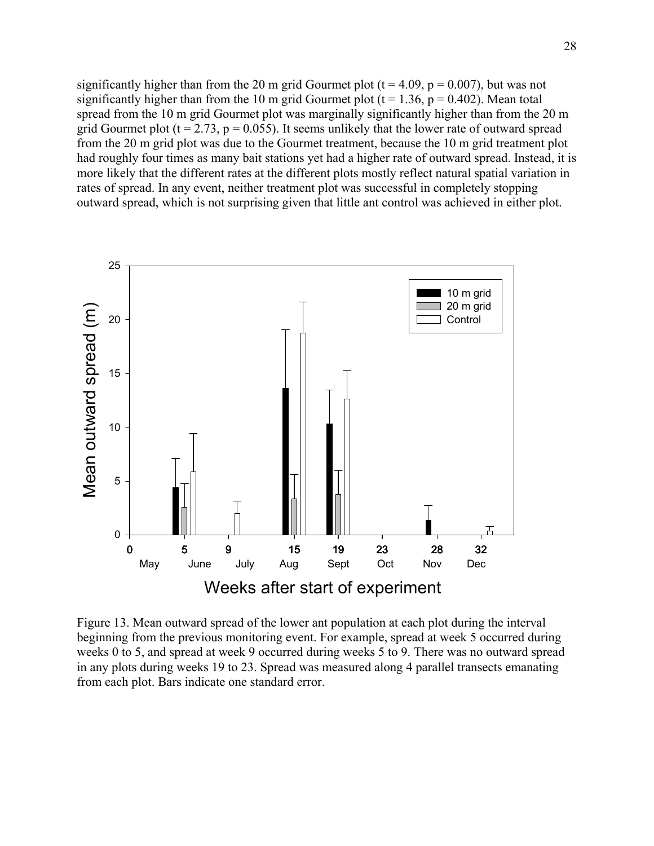significantly higher than from the 20 m grid Gourmet plot ( $t = 4.09$ ,  $p = 0.007$ ), but was not significantly higher than from the 10 m grid Gourmet plot ( $t = 1.36$ ,  $p = 0.402$ ). Mean total spread from the 10 m grid Gourmet plot was marginally significantly higher than from the 20 m grid Gourmet plot  $(t = 2.73, p = 0.055)$ . It seems unlikely that the lower rate of outward spread from the 20 m grid plot was due to the Gourmet treatment, because the 10 m grid treatment plot had roughly four times as many bait stations yet had a higher rate of outward spread. Instead, it is more likely that the different rates at the different plots mostly reflect natural spatial variation in rates of spread. In any event, neither treatment plot was successful in completely stopping outward spread, which is not surprising given that little ant control was achieved in either plot.



Figure 13. Mean outward spread of the lower ant population at each plot during the interval beginning from the previous monitoring event. For example, spread at week 5 occurred during weeks 0 to 5, and spread at week 9 occurred during weeks 5 to 9. There was no outward spread in any plots during weeks 19 to 23. Spread was measured along 4 parallel transects emanating from each plot. Bars indicate one standard error.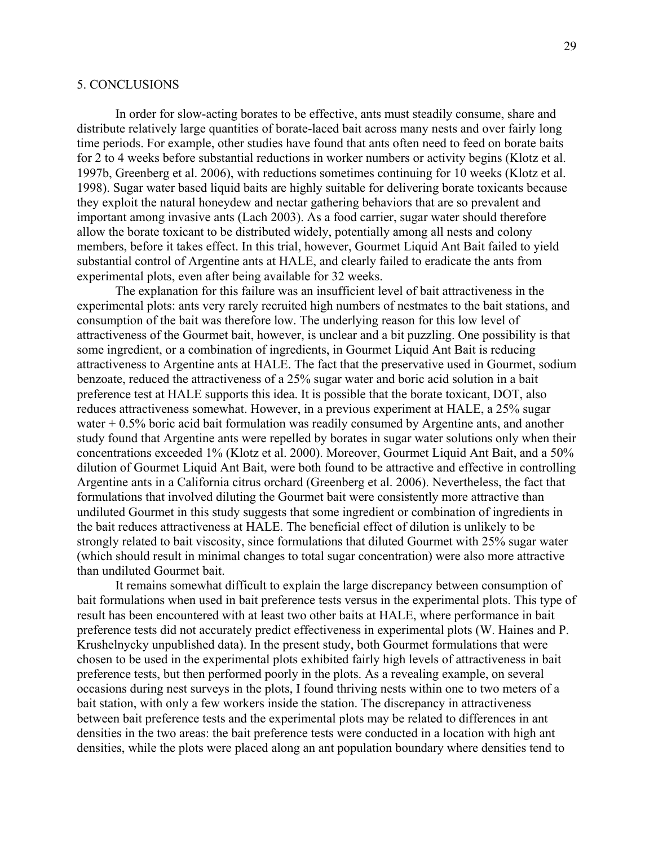### 5. CONCLUSIONS

 In order for slow-acting borates to be effective, ants must steadily consume, share and distribute relatively large quantities of borate-laced bait across many nests and over fairly long time periods. For example, other studies have found that ants often need to feed on borate baits for 2 to 4 weeks before substantial reductions in worker numbers or activity begins (Klotz et al. 1997b, Greenberg et al. 2006), with reductions sometimes continuing for 10 weeks (Klotz et al. 1998). Sugar water based liquid baits are highly suitable for delivering borate toxicants because they exploit the natural honeydew and nectar gathering behaviors that are so prevalent and important among invasive ants (Lach 2003). As a food carrier, sugar water should therefore allow the borate toxicant to be distributed widely, potentially among all nests and colony members, before it takes effect. In this trial, however, Gourmet Liquid Ant Bait failed to yield substantial control of Argentine ants at HALE, and clearly failed to eradicate the ants from experimental plots, even after being available for 32 weeks.

The explanation for this failure was an insufficient level of bait attractiveness in the experimental plots: ants very rarely recruited high numbers of nestmates to the bait stations, and consumption of the bait was therefore low. The underlying reason for this low level of attractiveness of the Gourmet bait, however, is unclear and a bit puzzling. One possibility is that some ingredient, or a combination of ingredients, in Gourmet Liquid Ant Bait is reducing attractiveness to Argentine ants at HALE. The fact that the preservative used in Gourmet, sodium benzoate, reduced the attractiveness of a 25% sugar water and boric acid solution in a bait preference test at HALE supports this idea. It is possible that the borate toxicant, DOT, also reduces attractiveness somewhat. However, in a previous experiment at HALE, a 25% sugar water + 0.5% boric acid bait formulation was readily consumed by Argentine ants, and another study found that Argentine ants were repelled by borates in sugar water solutions only when their concentrations exceeded 1% (Klotz et al. 2000). Moreover, Gourmet Liquid Ant Bait, and a 50% dilution of Gourmet Liquid Ant Bait, were both found to be attractive and effective in controlling Argentine ants in a California citrus orchard (Greenberg et al. 2006). Nevertheless, the fact that formulations that involved diluting the Gourmet bait were consistently more attractive than undiluted Gourmet in this study suggests that some ingredient or combination of ingredients in the bait reduces attractiveness at HALE. The beneficial effect of dilution is unlikely to be strongly related to bait viscosity, since formulations that diluted Gourmet with 25% sugar water (which should result in minimal changes to total sugar concentration) were also more attractive than undiluted Gourmet bait.

It remains somewhat difficult to explain the large discrepancy between consumption of bait formulations when used in bait preference tests versus in the experimental plots. This type of result has been encountered with at least two other baits at HALE, where performance in bait preference tests did not accurately predict effectiveness in experimental plots (W. Haines and P. Krushelnycky unpublished data). In the present study, both Gourmet formulations that were chosen to be used in the experimental plots exhibited fairly high levels of attractiveness in bait preference tests, but then performed poorly in the plots. As a revealing example, on several occasions during nest surveys in the plots, I found thriving nests within one to two meters of a bait station, with only a few workers inside the station. The discrepancy in attractiveness between bait preference tests and the experimental plots may be related to differences in ant densities in the two areas: the bait preference tests were conducted in a location with high ant densities, while the plots were placed along an ant population boundary where densities tend to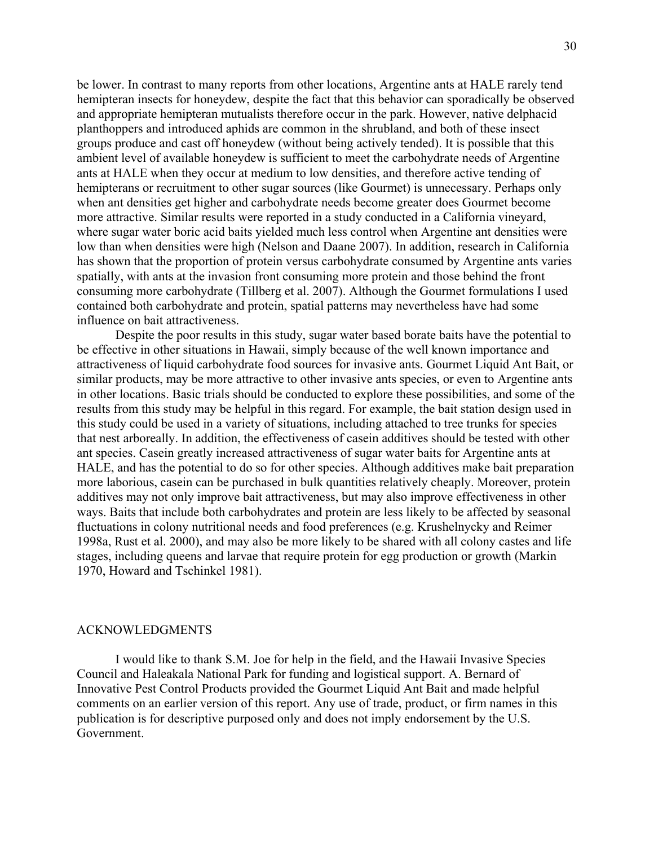be lower. In contrast to many reports from other locations, Argentine ants at HALE rarely tend hemipteran insects for honeydew, despite the fact that this behavior can sporadically be observed and appropriate hemipteran mutualists therefore occur in the park. However, native delphacid planthoppers and introduced aphids are common in the shrubland, and both of these insect groups produce and cast off honeydew (without being actively tended). It is possible that this ambient level of available honeydew is sufficient to meet the carbohydrate needs of Argentine ants at HALE when they occur at medium to low densities, and therefore active tending of hemipterans or recruitment to other sugar sources (like Gourmet) is unnecessary. Perhaps only when ant densities get higher and carbohydrate needs become greater does Gourmet become more attractive. Similar results were reported in a study conducted in a California vineyard, where sugar water boric acid baits yielded much less control when Argentine ant densities were low than when densities were high (Nelson and Daane 2007). In addition, research in California has shown that the proportion of protein versus carbohydrate consumed by Argentine ants varies spatially, with ants at the invasion front consuming more protein and those behind the front consuming more carbohydrate (Tillberg et al. 2007). Although the Gourmet formulations I used contained both carbohydrate and protein, spatial patterns may nevertheless have had some influence on bait attractiveness.

Despite the poor results in this study, sugar water based borate baits have the potential to be effective in other situations in Hawaii, simply because of the well known importance and attractiveness of liquid carbohydrate food sources for invasive ants. Gourmet Liquid Ant Bait, or similar products, may be more attractive to other invasive ants species, or even to Argentine ants in other locations. Basic trials should be conducted to explore these possibilities, and some of the results from this study may be helpful in this regard. For example, the bait station design used in this study could be used in a variety of situations, including attached to tree trunks for species that nest arboreally. In addition, the effectiveness of casein additives should be tested with other ant species. Casein greatly increased attractiveness of sugar water baits for Argentine ants at HALE, and has the potential to do so for other species. Although additives make bait preparation more laborious, casein can be purchased in bulk quantities relatively cheaply. Moreover, protein additives may not only improve bait attractiveness, but may also improve effectiveness in other ways. Baits that include both carbohydrates and protein are less likely to be affected by seasonal fluctuations in colony nutritional needs and food preferences (e.g. Krushelnycky and Reimer 1998a, Rust et al. 2000), and may also be more likely to be shared with all colony castes and life stages, including queens and larvae that require protein for egg production or growth (Markin 1970, Howard and Tschinkel 1981).

#### ACKNOWLEDGMENTS

 I would like to thank S.M. Joe for help in the field, and the Hawaii Invasive Species Council and Haleakala National Park for funding and logistical support. A. Bernard of Innovative Pest Control Products provided the Gourmet Liquid Ant Bait and made helpful comments on an earlier version of this report. Any use of trade, product, or firm names in this publication is for descriptive purposed only and does not imply endorsement by the U.S. Government.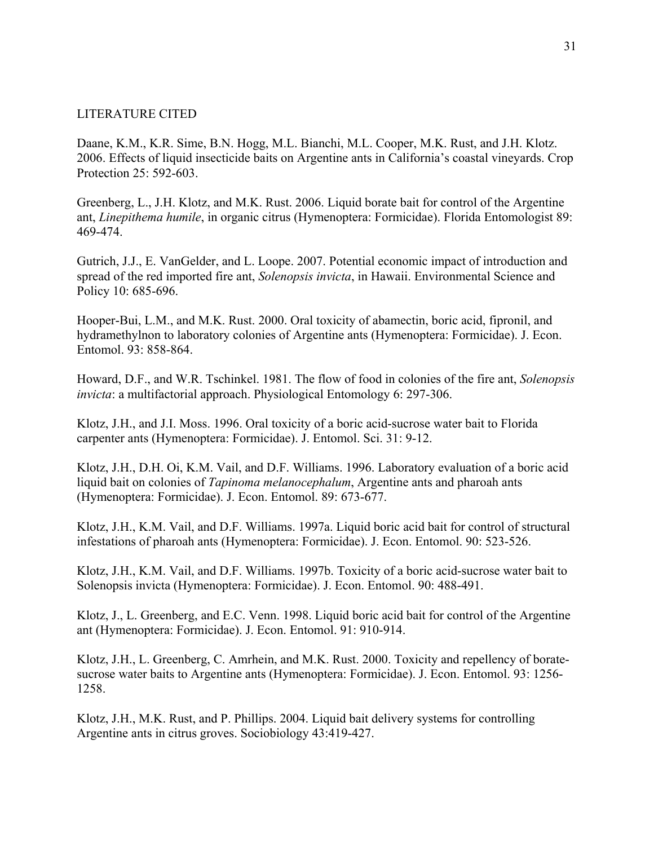### LITERATURE CITED

Daane, K.M., K.R. Sime, B.N. Hogg, M.L. Bianchi, M.L. Cooper, M.K. Rust, and J.H. Klotz. 2006. Effects of liquid insecticide baits on Argentine ants in California's coastal vineyards. Crop Protection 25: 592-603.

Greenberg, L., J.H. Klotz, and M.K. Rust. 2006. Liquid borate bait for control of the Argentine ant, *Linepithema humile*, in organic citrus (Hymenoptera: Formicidae). Florida Entomologist 89: 469-474.

Gutrich, J.J., E. VanGelder, and L. Loope. 2007. Potential economic impact of introduction and spread of the red imported fire ant, *Solenopsis invicta*, in Hawaii. Environmental Science and Policy 10: 685-696.

Hooper-Bui, L.M., and M.K. Rust. 2000. Oral toxicity of abamectin, boric acid, fipronil, and hydramethylnon to laboratory colonies of Argentine ants (Hymenoptera: Formicidae). J. Econ. Entomol. 93: 858-864.

Howard, D.F., and W.R. Tschinkel. 1981. The flow of food in colonies of the fire ant, *Solenopsis invicta*: a multifactorial approach. Physiological Entomology 6: 297-306.

Klotz, J.H., and J.I. Moss. 1996. Oral toxicity of a boric acid-sucrose water bait to Florida carpenter ants (Hymenoptera: Formicidae). J. Entomol. Sci. 31: 9-12.

Klotz, J.H., D.H. Oi, K.M. Vail, and D.F. Williams. 1996. Laboratory evaluation of a boric acid liquid bait on colonies of *Tapinoma melanocephalum*, Argentine ants and pharoah ants (Hymenoptera: Formicidae). J. Econ. Entomol. 89: 673-677.

Klotz, J.H., K.M. Vail, and D.F. Williams. 1997a. Liquid boric acid bait for control of structural infestations of pharoah ants (Hymenoptera: Formicidae). J. Econ. Entomol. 90: 523-526.

Klotz, J.H., K.M. Vail, and D.F. Williams. 1997b. Toxicity of a boric acid-sucrose water bait to Solenopsis invicta (Hymenoptera: Formicidae). J. Econ. Entomol. 90: 488-491.

Klotz, J., L. Greenberg, and E.C. Venn. 1998. Liquid boric acid bait for control of the Argentine ant (Hymenoptera: Formicidae). J. Econ. Entomol. 91: 910-914.

Klotz, J.H., L. Greenberg, C. Amrhein, and M.K. Rust. 2000. Toxicity and repellency of boratesucrose water baits to Argentine ants (Hymenoptera: Formicidae). J. Econ. Entomol. 93: 1256- 1258.

Klotz, J.H., M.K. Rust, and P. Phillips. 2004. Liquid bait delivery systems for controlling Argentine ants in citrus groves. Sociobiology 43:419-427.